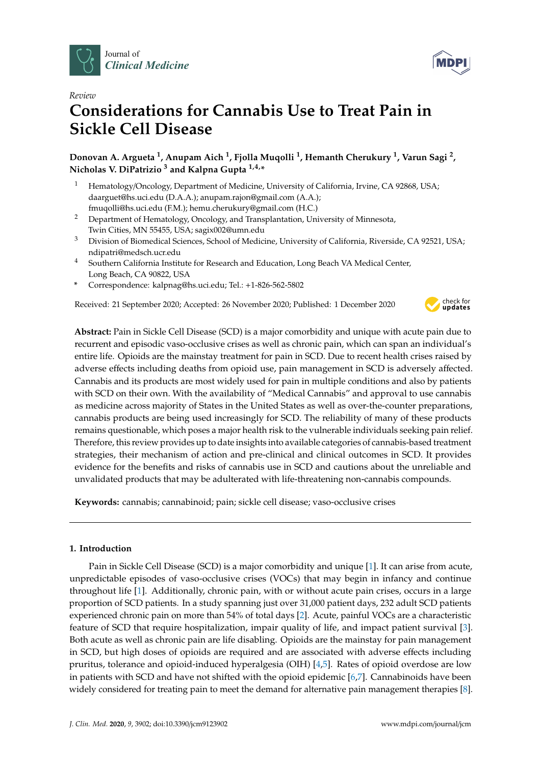



# **Considerations for Cannabis Use to Treat Pain in Sickle Cell Disease**

**Donovan A. Argueta <sup>1</sup> , Anupam Aich <sup>1</sup> , Fjolla Muqolli <sup>1</sup> , Hemanth Cherukury <sup>1</sup> , Varun Sagi <sup>2</sup> , Nicholas V. DiPatrizio <sup>3</sup> and Kalpna Gupta 1,4,\***

- <sup>1</sup> Hematology/Oncology, Department of Medicine, University of California, Irvine, CA 92868, USA; daarguet@hs.uci.edu (D.A.A.); anupam.rajon@gmail.com (A.A.); fmuqolli@hs.uci.edu (F.M.); hemu.cherukury@gmail.com (H.C.)
- <sup>2</sup> Department of Hematology, Oncology, and Transplantation, University of Minnesota, Twin Cities, MN 55455, USA; sagix002@umn.edu
- <sup>3</sup> Division of Biomedical Sciences, School of Medicine, University of California, Riverside, CA 92521, USA; ndipatri@medsch.ucr.edu
- <sup>4</sup> Southern California Institute for Research and Education, Long Beach VA Medical Center, Long Beach, CA 90822, USA
- **\*** Correspondence: kalpnag@hs.uci.edu; Tel.: +1-826-562-5802

Received: 21 September 2020; Accepted: 26 November 2020; Published: 1 December 2020



**Abstract:** Pain in Sickle Cell Disease (SCD) is a major comorbidity and unique with acute pain due to recurrent and episodic vaso-occlusive crises as well as chronic pain, which can span an individual's entire life. Opioids are the mainstay treatment for pain in SCD. Due to recent health crises raised by adverse effects including deaths from opioid use, pain management in SCD is adversely affected. Cannabis and its products are most widely used for pain in multiple conditions and also by patients with SCD on their own. With the availability of "Medical Cannabis" and approval to use cannabis as medicine across majority of States in the United States as well as over-the-counter preparations, cannabis products are being used increasingly for SCD. The reliability of many of these products remains questionable, which poses a major health risk to the vulnerable individuals seeking pain relief. Therefore, this review provides up to date insights into available categories of cannabis-based treatment strategies, their mechanism of action and pre-clinical and clinical outcomes in SCD. It provides evidence for the benefits and risks of cannabis use in SCD and cautions about the unreliable and unvalidated products that may be adulterated with life-threatening non-cannabis compounds.

**Keywords:** cannabis; cannabinoid; pain; sickle cell disease; vaso-occlusive crises

# **1. Introduction**

Pain in Sickle Cell Disease (SCD) is a major comorbidity and unique [\[1\]](#page-12-0). It can arise from acute, unpredictable episodes of vaso-occlusive crises (VOCs) that may begin in infancy and continue throughout life [\[1\]](#page-12-0). Additionally, chronic pain, with or without acute pain crises, occurs in a large proportion of SCD patients. In a study spanning just over 31,000 patient days, 232 adult SCD patients experienced chronic pain on more than 54% of total days [\[2\]](#page-12-1). Acute, painful VOCs are a characteristic feature of SCD that require hospitalization, impair quality of life, and impact patient survival [\[3\]](#page-12-2). Both acute as well as chronic pain are life disabling. Opioids are the mainstay for pain management in SCD, but high doses of opioids are required and are associated with adverse effects including pruritus, tolerance and opioid-induced hyperalgesia (OIH) [\[4](#page-12-3)[,5\]](#page-12-4). Rates of opioid overdose are low in patients with SCD and have not shifted with the opioid epidemic [\[6,](#page-12-5)[7\]](#page-12-6). Cannabinoids have been widely considered for treating pain to meet the demand for alternative pain management therapies [\[8\]](#page-12-7).

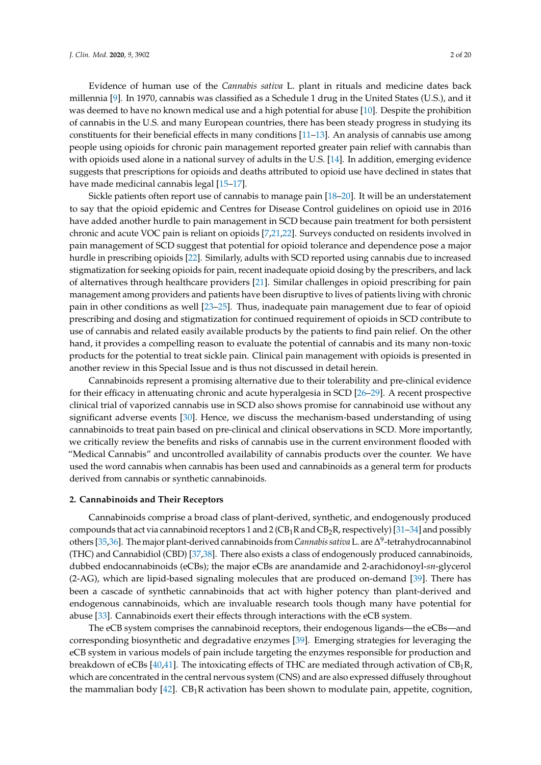Evidence of human use of the *Cannabis sativa* L. plant in rituals and medicine dates back millennia [\[9\]](#page-13-0). In 1970, cannabis was classified as a Schedule 1 drug in the United States (U.S.), and it was deemed to have no known medical use and a high potential for abuse [\[10\]](#page-13-1). Despite the prohibition of cannabis in the U.S. and many European countries, there has been steady progress in studying its constituents for their beneficial effects in many conditions [\[11](#page-13-2)[–13\]](#page-13-3). An analysis of cannabis use among people using opioids for chronic pain management reported greater pain relief with cannabis than with opioids used alone in a national survey of adults in the U.S. [\[14\]](#page-13-4). In addition, emerging evidence suggests that prescriptions for opioids and deaths attributed to opioid use have declined in states that have made medicinal cannabis legal [\[15](#page-13-5)[–17\]](#page-13-6).

Sickle patients often report use of cannabis to manage pain [\[18–](#page-13-7)[20\]](#page-13-8). It will be an understatement to say that the opioid epidemic and Centres for Disease Control guidelines on opioid use in 2016 have added another hurdle to pain management in SCD because pain treatment for both persistent chronic and acute VOC pain is reliant on opioids [\[7,](#page-12-6)[21,](#page-13-9)[22\]](#page-13-10). Surveys conducted on residents involved in pain management of SCD suggest that potential for opioid tolerance and dependence pose a major hurdle in prescribing opioids [\[22\]](#page-13-10). Similarly, adults with SCD reported using cannabis due to increased stigmatization for seeking opioids for pain, recent inadequate opioid dosing by the prescribers, and lack of alternatives through healthcare providers [\[21\]](#page-13-9). Similar challenges in opioid prescribing for pain management among providers and patients have been disruptive to lives of patients living with chronic pain in other conditions as well [\[23](#page-13-11)[–25\]](#page-13-12). Thus, inadequate pain management due to fear of opioid prescribing and dosing and stigmatization for continued requirement of opioids in SCD contribute to use of cannabis and related easily available products by the patients to find pain relief. On the other hand, it provides a compelling reason to evaluate the potential of cannabis and its many non-toxic products for the potential to treat sickle pain. Clinical pain management with opioids is presented in another review in this Special Issue and is thus not discussed in detail herein.

Cannabinoids represent a promising alternative due to their tolerability and pre-clinical evidence for their efficacy in attenuating chronic and acute hyperalgesia in SCD [\[26](#page-13-13)[–29\]](#page-13-14). A recent prospective clinical trial of vaporized cannabis use in SCD also shows promise for cannabinoid use without any significant adverse events [\[30\]](#page-14-0). Hence, we discuss the mechanism-based understanding of using cannabinoids to treat pain based on pre-clinical and clinical observations in SCD. More importantly, we critically review the benefits and risks of cannabis use in the current environment flooded with "Medical Cannabis" and uncontrolled availability of cannabis products over the counter. We have used the word cannabis when cannabis has been used and cannabinoids as a general term for products derived from cannabis or synthetic cannabinoids.

# **2. Cannabinoids and Their Receptors**

Cannabinoids comprise a broad class of plant-derived, synthetic, and endogenously produced compounds that act via cannabinoid receptors 1 and 2 ( $CB_1R$  and  $CB_2R$ , respectively) [\[31–](#page-14-1)[34\]](#page-14-2) and possibly others [\[35](#page-14-3)[,36\]](#page-14-4). The major plant-derived cannabinoids from *Cannabis sativa* L. are ∆ 9 -tetrahydrocannabinol (THC) and Cannabidiol (CBD) [\[37,](#page-14-5)[38\]](#page-14-6). There also exists a class of endogenously produced cannabinoids, dubbed endocannabinoids (eCBs); the major eCBs are anandamide and 2-arachidonoyl-*sn*-glycerol (2-AG), which are lipid-based signaling molecules that are produced on-demand [\[39\]](#page-14-7). There has been a cascade of synthetic cannabinoids that act with higher potency than plant-derived and endogenous cannabinoids, which are invaluable research tools though many have potential for abuse [\[33\]](#page-14-8). Cannabinoids exert their effects through interactions with the eCB system.

The eCB system comprises the cannabinoid receptors, their endogenous ligands—the eCBs—and corresponding biosynthetic and degradative enzymes [\[39\]](#page-14-7). Emerging strategies for leveraging the eCB system in various models of pain include targeting the enzymes responsible for production and breakdown of eCBs [\[40,](#page-14-9)[41\]](#page-14-10). The intoxicating effects of THC are mediated through activation of  $CB_1R$ , which are concentrated in the central nervous system (CNS) and are also expressed diffusely throughout the mammalian body  $[42]$ . CB<sub>1</sub>R activation has been shown to modulate pain, appetite, cognition,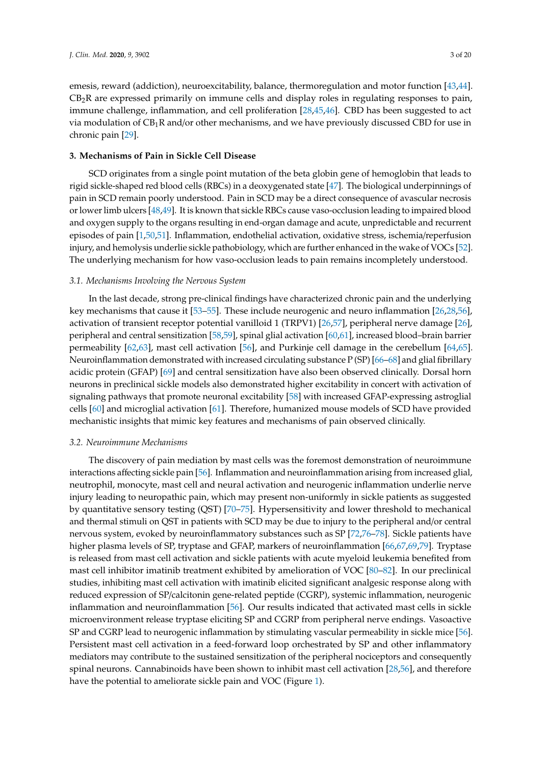emesis, reward (addiction), neuroexcitability, balance, thermoregulation and motor function [\[43,](#page-14-12)[44\]](#page-14-13).  $CB<sub>2</sub>R$  are expressed primarily on immune cells and display roles in regulating responses to pain, immune challenge, inflammation, and cell proliferation [\[28](#page-13-15)[,45](#page-14-14)[,46\]](#page-14-15). CBD has been suggested to act via modulation of  $CB_1R$  and/or other mechanisms, and we have previously discussed CBD for use in chronic pain [\[29\]](#page-13-14).

# **3. Mechanisms of Pain in Sickle Cell Disease**

SCD originates from a single point mutation of the beta globin gene of hemoglobin that leads to rigid sickle-shaped red blood cells (RBCs) in a deoxygenated state [\[47\]](#page-14-16). The biological underpinnings of pain in SCD remain poorly understood. Pain in SCD may be a direct consequence of avascular necrosis or lower limb ulcers [\[48](#page-14-17)[,49\]](#page-14-18). It is known that sickle RBCs cause vaso-occlusion leading to impaired blood and oxygen supply to the organs resulting in end-organ damage and acute, unpredictable and recurrent episodes of pain [\[1,](#page-12-0)[50,](#page-14-19)[51\]](#page-14-20). Inflammation, endothelial activation, oxidative stress, ischemia/reperfusion injury, and hemolysis underlie sickle pathobiology, which are further enhanced in the wake of VOCs [\[52\]](#page-14-21). The underlying mechanism for how vaso-occlusion leads to pain remains incompletely understood.

#### *3.1. Mechanisms Involving the Nervous System*

In the last decade, strong pre-clinical findings have characterized chronic pain and the underlying key mechanisms that cause it [\[53–](#page-14-22)[55\]](#page-15-0). These include neurogenic and neuro inflammation [\[26,](#page-13-13)[28,](#page-13-15)[56\]](#page-15-1), activation of transient receptor potential vanilloid 1 (TRPV1) [\[26,](#page-13-13)[57\]](#page-15-2), peripheral nerve damage [\[26\]](#page-13-13), peripheral and central sensitization [\[58,](#page-15-3)[59\]](#page-15-4), spinal glial activation [\[60,](#page-15-5)[61\]](#page-15-6), increased blood–brain barrier permeability [\[62](#page-15-7)[,63\]](#page-15-8), mast cell activation [\[56\]](#page-15-1), and Purkinje cell damage in the cerebellum [\[64,](#page-15-9)[65\]](#page-15-10). Neuroinflammation demonstrated with increased circulating substance P (SP) [\[66–](#page-15-11)[68\]](#page-15-12) and glial fibrillary acidic protein (GFAP) [\[69\]](#page-15-13) and central sensitization have also been observed clinically. Dorsal horn neurons in preclinical sickle models also demonstrated higher excitability in concert with activation of signaling pathways that promote neuronal excitability [\[58\]](#page-15-3) with increased GFAP-expressing astroglial cells [\[60\]](#page-15-5) and microglial activation [\[61\]](#page-15-6). Therefore, humanized mouse models of SCD have provided mechanistic insights that mimic key features and mechanisms of pain observed clinically.

#### *3.2. Neuroimmune Mechanisms*

The discovery of pain mediation by mast cells was the foremost demonstration of neuroimmune interactions affecting sickle pain [\[56\]](#page-15-1). Inflammation and neuroinflammation arising from increased glial, neutrophil, monocyte, mast cell and neural activation and neurogenic inflammation underlie nerve injury leading to neuropathic pain, which may present non-uniformly in sickle patients as suggested by quantitative sensory testing (QST) [\[70–](#page-15-14)[75\]](#page-16-0). Hypersensitivity and lower threshold to mechanical and thermal stimuli on QST in patients with SCD may be due to injury to the peripheral and/or central nervous system, evoked by neuroinflammatory substances such as SP [\[72](#page-15-15)[,76](#page-16-1)[–78\]](#page-16-2). Sickle patients have higher plasma levels of SP, tryptase and GFAP, markers of neuroinflammation [\[66](#page-15-11)[,67,](#page-15-16)[69,](#page-15-13)[79\]](#page-16-3). Tryptase is released from mast cell activation and sickle patients with acute myeloid leukemia benefited from mast cell inhibitor imatinib treatment exhibited by amelioration of VOC [\[80–](#page-16-4)[82\]](#page-16-5). In our preclinical studies, inhibiting mast cell activation with imatinib elicited significant analgesic response along with reduced expression of SP/calcitonin gene-related peptide (CGRP), systemic inflammation, neurogenic inflammation and neuroinflammation [\[56\]](#page-15-1). Our results indicated that activated mast cells in sickle microenvironment release tryptase eliciting SP and CGRP from peripheral nerve endings. Vasoactive SP and CGRP lead to neurogenic inflammation by stimulating vascular permeability in sickle mice [\[56\]](#page-15-1). Persistent mast cell activation in a feed-forward loop orchestrated by SP and other inflammatory mediators may contribute to the sustained sensitization of the peripheral nociceptors and consequently spinal neurons. Cannabinoids have been shown to inhibit mast cell activation [\[28,](#page-13-15)[56\]](#page-15-1), and therefore have the potential to ameliorate sickle pain and VOC (Figure [1\)](#page-3-0).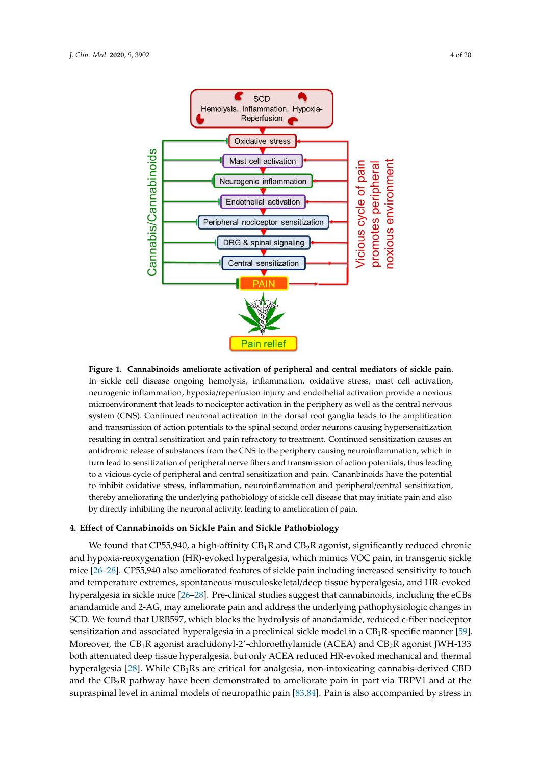<span id="page-3-0"></span>

In sickle cell disease ongoing hemolysis, inflammation, oxidative stress, mast cell activation, neurogenic inflammation, hypoxia/reperfusion injury and endothelial activation provide a noxious microenvironment that leads to nociceptor activation in the periphery as well as the central nervous system (CNS). Continued neuronal activation in the dorsal root ganglia leads to the amplification and transmission of action potentials to the spinal second order neurons causing hypersensitization resulting in central sensitization and pain refractory to treatment. Continued sensitization causes an antidromic release of substances from the CNS to the periphery causing neuroinflammation, which in turn lead to sensitization of peripheral nerve fibers and transmission of action potentials, thus leading to a vicious cycle of peripheral and central sensitization and pain. Cananbinoids have the potential to inhibit oxidative stress, inflammation, neuroinflammation and peripheral/central sensitization, thereby ameliorating the underlying pathobiology of sickle cell disease that may initiate pain and also by directly inhibiting the neuronal activity, leading to amelioration of pain. **Figure 1. Cannabinoids ameliorate activation of peripheral and central mediators of sickle pain**.

## **4. E**ff**ect of Cannabinoids on Sickle Pain and Sickle Pathobiology**

We found that CP55,940, a high-affinity CB<sub>1</sub>R and CB<sub>2</sub>R agonist, significantly reduced chronic and hypoxia-reoxygenation (HR)-evoked hyperalgesia, which mimics VOC pain, in transgenic sickle mice [\[26–](#page-13-13)[28\]](#page-13-15). CP55,940 also ameliorated features of sickle pain including increased sensitivity to touch and temperature extremes, spontaneous musculoskeletal/deep tissue hyperalgesia, and HR-evoked hyperalgesia in sickle mice [\[26](#page-13-13)[–28\]](#page-13-15). Pre-clinical studies suggest that cannabinoids, including the eCBs anandamide and 2-AG, may ameliorate pain and address the underlying pathophysiologic changes in SCD. We found that URB597, which blocks the hydrolysis of anandamide, reduced c-fiber nociceptor sensitization and associated hyperalgesia in a preclinical sickle model in a  $\text{CB}_1\text{R-specific manner}$  [\[59\]](#page-15-4). Moreover, the CB<sub>1</sub>R agonist arachidonyl-2'-chloroethylamide (ACEA) and CB<sub>2</sub>R agonist JWH-133 both attenuated deep tissue hyperalgesia, but only ACEA reduced HR-evoked mechanical and thermal hyperalgesia [\[28\]](#page-13-15). While  $\text{CB}_1\text{Rs}$  are critical for analgesia, non-intoxicating cannabis-derived CBD and the CB<sub>2</sub>R pathway have been demonstrated to ameliorate pain in part via TRPV1 and at the supraspinal level in animal models of neuropathic pain [\[83,](#page-16-6)[84\]](#page-16-7). Pain is also accompanied by stress in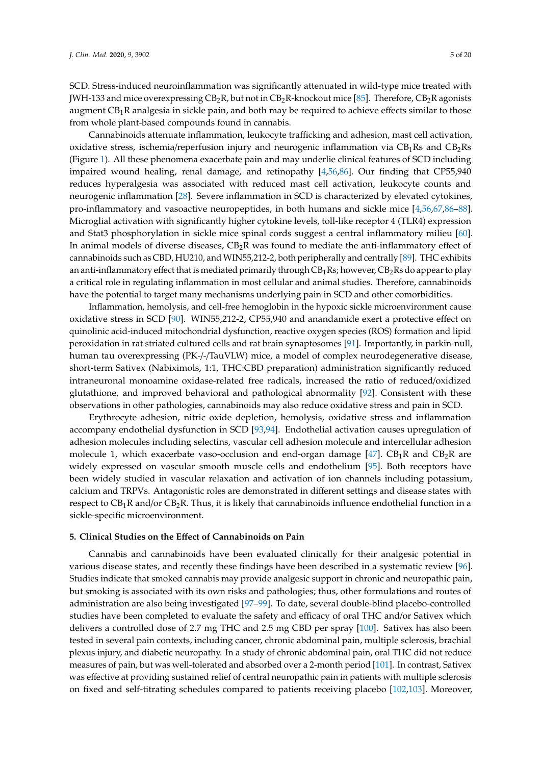SCD. Stress-induced neuroinflammation was significantly attenuated in wild-type mice treated with JWH-133 and mice overexpressing  $CB_2R$ , but not in  $CB_2R$ -knockout mice [\[85\]](#page-16-8). Therefore,  $CB_2R$  agonists augment  $CB_1R$  analgesia in sickle pain, and both may be required to achieve effects similar to those from whole plant-based compounds found in cannabis.

Cannabinoids attenuate inflammation, leukocyte trafficking and adhesion, mast cell activation, oxidative stress, ischemia/reperfusion injury and neurogenic inflammation via  $CB_1Rs$  and  $CB_2Rs$ (Figure [1\)](#page-3-0). All these phenomena exacerbate pain and may underlie clinical features of SCD including impaired wound healing, renal damage, and retinopathy [\[4](#page-12-3)[,56,](#page-15-1)[86\]](#page-16-9). Our finding that CP55,940 reduces hyperalgesia was associated with reduced mast cell activation, leukocyte counts and neurogenic inflammation [\[28\]](#page-13-15). Severe inflammation in SCD is characterized by elevated cytokines, pro-inflammatory and vasoactive neuropeptides, in both humans and sickle mice [\[4,](#page-12-3)[56,](#page-15-1)[67,](#page-15-16)[86–](#page-16-9)[88\]](#page-16-10). Microglial activation with significantly higher cytokine levels, toll-like receptor 4 (TLR4) expression and Stat3 phosphorylation in sickle mice spinal cords suggest a central inflammatory milieu [\[60\]](#page-15-5). In animal models of diverse diseases,  $CB_2R$  was found to mediate the anti-inflammatory effect of cannabinoids such as CBD, HU210, and WIN55,212-2, both peripherally and centrally [\[89\]](#page-16-11). THC exhibits an anti-inflammatory effect that is mediated primarily through  $CB_1Rs$ ; however,  $CB_2Rs$  do appear to play a critical role in regulating inflammation in most cellular and animal studies. Therefore, cannabinoids have the potential to target many mechanisms underlying pain in SCD and other comorbidities.

Inflammation, hemolysis, and cell-free hemoglobin in the hypoxic sickle microenvironment cause oxidative stress in SCD [\[90\]](#page-16-12). WIN55,212-2, CP55,940 and anandamide exert a protective effect on quinolinic acid-induced mitochondrial dysfunction, reactive oxygen species (ROS) formation and lipid peroxidation in rat striated cultured cells and rat brain synaptosomes [\[91\]](#page-16-13). Importantly, in parkin-null, human tau overexpressing (PK-/-/TauVLW) mice, a model of complex neurodegenerative disease, short-term Sativex (Nabiximols, 1:1, THC:CBD preparation) administration significantly reduced intraneuronal monoamine oxidase-related free radicals, increased the ratio of reduced/oxidized glutathione, and improved behavioral and pathological abnormality [\[92\]](#page-16-14). Consistent with these observations in other pathologies, cannabinoids may also reduce oxidative stress and pain in SCD.

Erythrocyte adhesion, nitric oxide depletion, hemolysis, oxidative stress and inflammation accompany endothelial dysfunction in SCD [\[93,](#page-16-15)[94\]](#page-16-16). Endothelial activation causes upregulation of adhesion molecules including selectins, vascular cell adhesion molecule and intercellular adhesion molecule 1, which exacerbate vaso-occlusion and end-organ damage  $[47]$ .  $CB_1R$  and  $CB_2R$  are widely expressed on vascular smooth muscle cells and endothelium [\[95\]](#page-17-0). Both receptors have been widely studied in vascular relaxation and activation of ion channels including potassium, calcium and TRPVs. Antagonistic roles are demonstrated in different settings and disease states with respect to  $CB_1R$  and/or  $CB_2R$ . Thus, it is likely that cannabinoids influence endothelial function in a sickle-specific microenvironment.

## **5. Clinical Studies on the E**ff**ect of Cannabinoids on Pain**

Cannabis and cannabinoids have been evaluated clinically for their analgesic potential in various disease states, and recently these findings have been described in a systematic review [\[96\]](#page-17-1). Studies indicate that smoked cannabis may provide analgesic support in chronic and neuropathic pain, but smoking is associated with its own risks and pathologies; thus, other formulations and routes of administration are also being investigated [\[97](#page-17-2)[–99\]](#page-17-3). To date, several double-blind placebo-controlled studies have been completed to evaluate the safety and efficacy of oral THC and/or Sativex which delivers a controlled dose of 2.7 mg THC and 2.5 mg CBD per spray [\[100\]](#page-17-4). Sativex has also been tested in several pain contexts, including cancer, chronic abdominal pain, multiple sclerosis, brachial plexus injury, and diabetic neuropathy. In a study of chronic abdominal pain, oral THC did not reduce measures of pain, but was well-tolerated and absorbed over a 2-month period [\[101\]](#page-17-5). In contrast, Sativex was effective at providing sustained relief of central neuropathic pain in patients with multiple sclerosis on fixed and self-titrating schedules compared to patients receiving placebo [\[102,](#page-17-6)[103\]](#page-17-7). Moreover,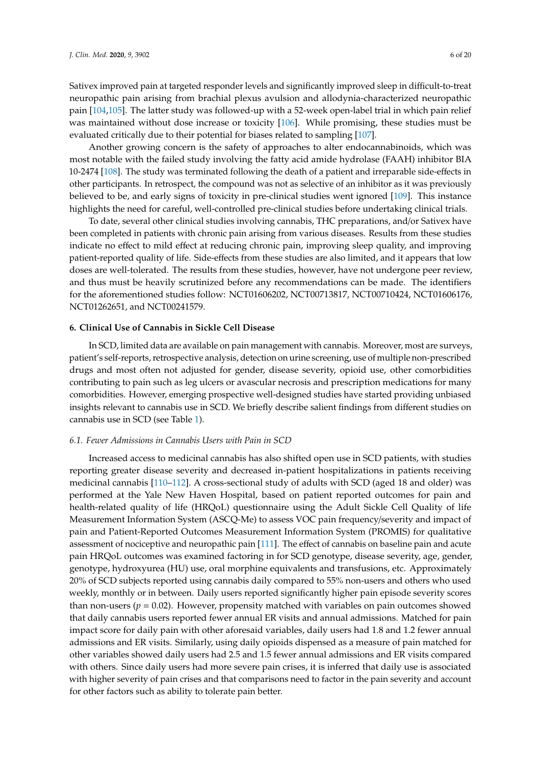Sativex improved pain at targeted responder levels and significantly improved sleep in difficult-to-treat neuropathic pain arising from brachial plexus avulsion and allodynia-characterized neuropathic pain [\[104](#page-17-8)[,105\]](#page-17-9). The latter study was followed-up with a 52-week open-label trial in which pain relief was maintained without dose increase or toxicity [\[106\]](#page-17-10). While promising, these studies must be evaluated critically due to their potential for biases related to sampling [\[107\]](#page-17-11).

Another growing concern is the safety of approaches to alter endocannabinoids, which was most notable with the failed study involving the fatty acid amide hydrolase (FAAH) inhibitor BIA 10-2474 [\[108\]](#page-17-12). The study was terminated following the death of a patient and irreparable side-effects in other participants. In retrospect, the compound was not as selective of an inhibitor as it was previously believed to be, and early signs of toxicity in pre-clinical studies went ignored [\[109\]](#page-17-13). This instance highlights the need for careful, well-controlled pre-clinical studies before undertaking clinical trials.

To date, several other clinical studies involving cannabis, THC preparations, and/or Sativex have been completed in patients with chronic pain arising from various diseases. Results from these studies indicate no effect to mild effect at reducing chronic pain, improving sleep quality, and improving patient-reported quality of life. Side-effects from these studies are also limited, and it appears that low doses are well-tolerated. The results from these studies, however, have not undergone peer review, and thus must be heavily scrutinized before any recommendations can be made. The identifiers for the aforementioned studies follow: NCT01606202, NCT00713817, NCT00710424, NCT01606176, NCT01262651, and NCT00241579.

# **6. Clinical Use of Cannabis in Sickle Cell Disease**

In SCD, limited data are available on pain management with cannabis. Moreover, most are surveys, patient's self-reports, retrospective analysis, detection on urine screening, use of multiple non-prescribed drugs and most often not adjusted for gender, disease severity, opioid use, other comorbidities contributing to pain such as leg ulcers or avascular necrosis and prescription medications for many comorbidities. However, emerging prospective well-designed studies have started providing unbiased insights relevant to cannabis use in SCD. We briefly describe salient findings from different studies on cannabis use in SCD (see Table [1\)](#page-8-0).

#### *6.1. Fewer Admissions in Cannabis Users with Pain in SCD*

Increased access to medicinal cannabis has also shifted open use in SCD patients, with studies reporting greater disease severity and decreased in-patient hospitalizations in patients receiving medicinal cannabis [\[110](#page-17-14)[–112\]](#page-17-15). A cross-sectional study of adults with SCD (aged 18 and older) was performed at the Yale New Haven Hospital, based on patient reported outcomes for pain and health-related quality of life (HRQoL) questionnaire using the Adult Sickle Cell Quality of life Measurement Information System (ASCQ-Me) to assess VOC pain frequency/severity and impact of pain and Patient-Reported Outcomes Measurement Information System (PROMIS) for qualitative assessment of nociceptive and neuropathic pain [\[111\]](#page-17-16). The effect of cannabis on baseline pain and acute pain HRQoL outcomes was examined factoring in for SCD genotype, disease severity, age, gender, genotype, hydroxyurea (HU) use, oral morphine equivalents and transfusions, etc. Approximately 20% of SCD subjects reported using cannabis daily compared to 55% non-users and others who used weekly, monthly or in between. Daily users reported significantly higher pain episode severity scores than non-users ( $p = 0.02$ ). However, propensity matched with variables on pain outcomes showed that daily cannabis users reported fewer annual ER visits and annual admissions. Matched for pain impact score for daily pain with other aforesaid variables, daily users had 1.8 and 1.2 fewer annual admissions and ER visits. Similarly, using daily opioids dispensed as a measure of pain matched for other variables showed daily users had 2.5 and 1.5 fewer annual admissions and ER visits compared with others. Since daily users had more severe pain crises, it is inferred that daily use is associated with higher severity of pain crises and that comparisons need to factor in the pain severity and account for other factors such as ability to tolerate pain better.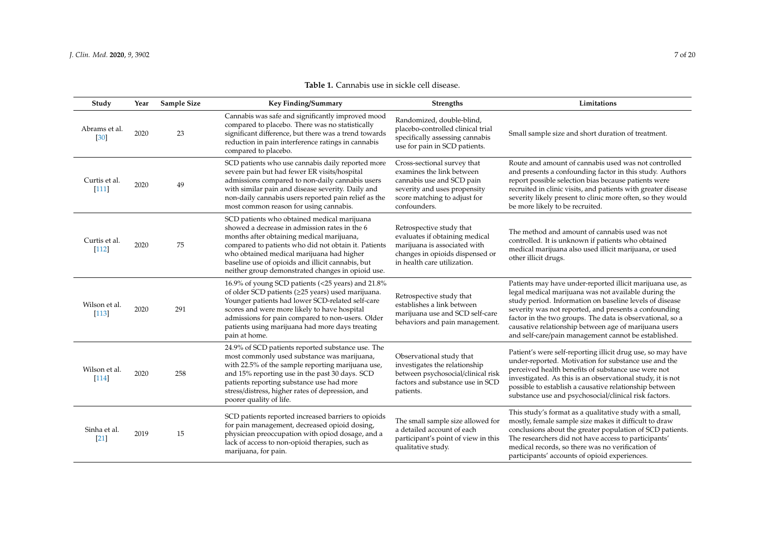| Study                              | Year | Sample Size | Key Finding/Summary                                                                                                                                                                                                                                                                                                                                      | <b>Strengths</b>                                                                                                                                                      | Limitations                                                                                                                                                                                                                                                                                                                                                                                                          |
|------------------------------------|------|-------------|----------------------------------------------------------------------------------------------------------------------------------------------------------------------------------------------------------------------------------------------------------------------------------------------------------------------------------------------------------|-----------------------------------------------------------------------------------------------------------------------------------------------------------------------|----------------------------------------------------------------------------------------------------------------------------------------------------------------------------------------------------------------------------------------------------------------------------------------------------------------------------------------------------------------------------------------------------------------------|
| Abrams et al.<br>$\left[30\right]$ | 2020 | 23          | Cannabis was safe and significantly improved mood<br>compared to placebo. There was no statistically<br>significant difference, but there was a trend towards<br>reduction in pain interference ratings in cannabis<br>compared to placebo.                                                                                                              | Randomized, double-blind,<br>placebo-controlled clinical trial<br>specifically assessing cannabis<br>use for pain in SCD patients.                                    | Small sample size and short duration of treatment.                                                                                                                                                                                                                                                                                                                                                                   |
| Curtis et al.<br>[111]             | 2020 | 49          | SCD patients who use cannabis daily reported more<br>severe pain but had fewer ER visits/hospital<br>admissions compared to non-daily cannabis users<br>with similar pain and disease severity. Daily and<br>non-daily cannabis users reported pain relief as the<br>most common reason for using cannabis.                                              | Cross-sectional survey that<br>examines the link between<br>cannabis use and SCD pain<br>severity and uses propensity<br>score matching to adjust for<br>confounders. | Route and amount of cannabis used was not controlled<br>and presents a confounding factor in this study. Authors<br>report possible selection bias because patients were<br>recruited in clinic visits, and patients with greater disease<br>severity likely present to clinic more often, so they would<br>be more likely to be recruited.                                                                          |
| Curtis et al.<br>$[112]$           | 2020 | 75          | SCD patients who obtained medical marijuana<br>showed a decrease in admission rates in the 6<br>months after obtaining medical marijuana,<br>compared to patients who did not obtain it. Patients<br>who obtained medical marijuana had higher<br>baseline use of opioids and illicit cannabis, but<br>neither group demonstrated changes in opioid use. | Retrospective study that<br>evaluates if obtaining medical<br>marijuana is associated with<br>changes in opioids dispensed or<br>in health care utilization.          | The method and amount of cannabis used was not<br>controlled. It is unknown if patients who obtained<br>medical marijuana also used illicit marijuana, or used<br>other illicit drugs.                                                                                                                                                                                                                               |
| Wilson et al.<br>$[113]$           | 2020 | 291         | 16.9% of young SCD patients (<25 years) and 21.8%<br>of older SCD patients (≥25 years) used marijuana.<br>Younger patients had lower SCD-related self-care<br>scores and were more likely to have hospital<br>admissions for pain compared to non-users. Older<br>patients using marijuana had more days treating<br>pain at home.                       | Retrospective study that<br>establishes a link between<br>marijuana use and SCD self-care<br>behaviors and pain management.                                           | Patients may have under-reported illicit marijuana use, as<br>legal medical marijuana was not available during the<br>study period. Information on baseline levels of disease<br>severity was not reported, and presents a confounding<br>factor in the two groups. The data is observational, so a<br>causative relationship between age of marijuana users<br>and self-care/pain management cannot be established. |
| Wilson et al.<br>$[114]$           | 2020 | 258         | 24.9% of SCD patients reported substance use. The<br>most commonly used substance was marijuana,<br>with 22.5% of the sample reporting marijuana use,<br>and 15% reporting use in the past 30 days. SCD<br>patients reporting substance use had more<br>stress/distress, higher rates of depression, and<br>poorer quality of life.                      | Observational study that<br>investigates the relationship<br>between psychosocial/clinical risk<br>factors and substance use in SCD<br>patients.                      | Patient's were self-reporting illicit drug use, so may have<br>under-reported. Motivation for substance use and the<br>perceived health benefits of substance use were not<br>investigated. As this is an observational study, it is not<br>possible to establish a causative relationship between<br>substance use and psychosocial/clinical risk factors.                                                          |
| Sinha et al.<br>$[21]$             | 2019 | 15          | SCD patients reported increased barriers to opioids<br>for pain management, decreased opioid dosing,<br>physician preoccupation with opiod dosage, and a<br>lack of access to non-opioid therapies, such as<br>marijuana, for pain.                                                                                                                      | The small sample size allowed for<br>a detailed account of each<br>participant's point of view in this<br>qualitative study.                                          | This study's format as a qualitative study with a small,<br>mostly, female sample size makes it difficult to draw<br>conclusions about the greater population of SCD patients.<br>The researchers did not have access to participants'<br>medical records, so there was no verification of<br>participants' accounts of opioid experiences.                                                                          |

# **Table 1.** Cannabis use in sickle cell disease.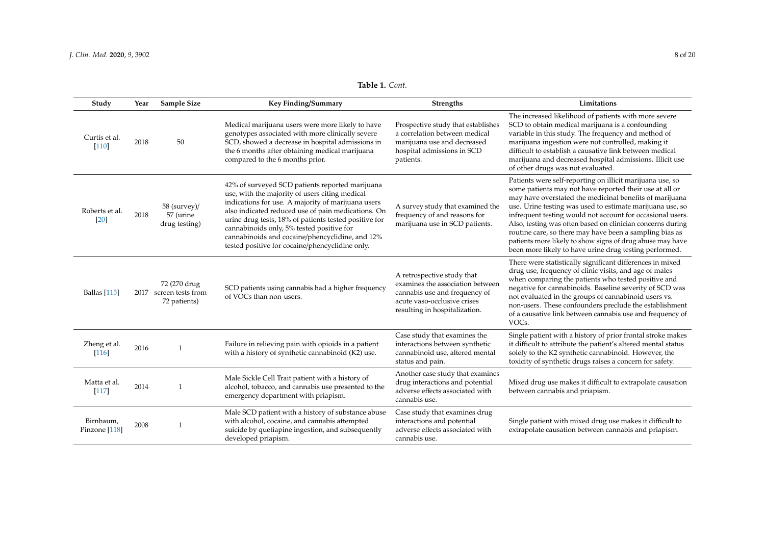| Table 1. Cont. |  |  |
|----------------|--|--|
|----------------|--|--|

| Study                                | Year | Sample Size                                            | <b>Key Finding/Summary</b>                                                                                                                                                                                                                                                                                                                                                                                                | <b>Strengths</b>                                                                                                                                                | Limitations                                                                                                                                                                                                                                                                                                                                                                                                                                                                                                                                                |
|--------------------------------------|------|--------------------------------------------------------|---------------------------------------------------------------------------------------------------------------------------------------------------------------------------------------------------------------------------------------------------------------------------------------------------------------------------------------------------------------------------------------------------------------------------|-----------------------------------------------------------------------------------------------------------------------------------------------------------------|------------------------------------------------------------------------------------------------------------------------------------------------------------------------------------------------------------------------------------------------------------------------------------------------------------------------------------------------------------------------------------------------------------------------------------------------------------------------------------------------------------------------------------------------------------|
| Curtis et al.<br>$\lceil 110 \rceil$ | 2018 | 50                                                     | Medical marijuana users were more likely to have<br>genotypes associated with more clinically severe<br>SCD, showed a decrease in hospital admissions in<br>the 6 months after obtaining medical marijuana<br>compared to the 6 months prior.                                                                                                                                                                             | Prospective study that establishes<br>a correlation between medical<br>marijuana use and decreased<br>hospital admissions in SCD<br>patients.                   | The increased likelihood of patients with more severe<br>SCD to obtain medical marijuana is a confounding<br>variable in this study. The frequency and method of<br>marijuana ingestion were not controlled, making it<br>difficult to establish a causative link between medical<br>marijuana and decreased hospital admissions. Illicit use<br>of other drugs was not evaluated.                                                                                                                                                                         |
| Roberts et al.<br>[20]               | 2018 | $58$ (survey)/<br>57 (urine<br>drug testing)           | 42% of surveyed SCD patients reported marijuana<br>use, with the majority of users citing medical<br>indications for use. A majority of marijuana users<br>also indicated reduced use of pain medications. On<br>urine drug tests, 18% of patients tested positive for<br>cannabinoids only, 5% tested positive for<br>cannabinoids and cocaine/phencyclidine, and 12%<br>tested positive for cocaine/phencyclidine only. | A survey study that examined the<br>frequency of and reasons for<br>marijuana use in SCD patients.                                                              | Patients were self-reporting on illicit marijuana use, so<br>some patients may not have reported their use at all or<br>may have overstated the medicinal benefits of marijuana<br>use. Urine testing was used to estimate marijuana use, so<br>infrequent testing would not account for occasional users.<br>Also, testing was often based on clinician concerns during<br>routine care, so there may have been a sampling bias as<br>patients more likely to show signs of drug abuse may have<br>been more likely to have urine drug testing performed. |
| <b>Ballas</b> [115]                  |      | 72 (270 drug<br>2017 screen tests from<br>72 patients) | SCD patients using cannabis had a higher frequency<br>of VOCs than non-users.                                                                                                                                                                                                                                                                                                                                             | A retrospective study that<br>examines the association between<br>cannabis use and frequency of<br>acute vaso-occlusive crises<br>resulting in hospitalization. | There were statistically significant differences in mixed<br>drug use, frequency of clinic visits, and age of males<br>when comparing the patients who tested positive and<br>negative for cannabinoids. Baseline severity of SCD was<br>not evaluated in the groups of cannabinoid users vs.<br>non-users. These confounders preclude the establishment<br>of a causative link between cannabis use and frequency of<br>VOC <sub>s</sub> .                                                                                                                |
| Zheng et al.<br>$[116]$              | 2016 | 1                                                      | Failure in relieving pain with opioids in a patient<br>with a history of synthetic cannabinoid (K2) use.                                                                                                                                                                                                                                                                                                                  | Case study that examines the<br>interactions between synthetic<br>cannabinoid use, altered mental<br>status and pain.                                           | Single patient with a history of prior frontal stroke makes<br>it difficult to attribute the patient's altered mental status<br>solely to the K2 synthetic cannabinoid. However, the<br>toxicity of synthetic drugs raises a concern for safety.                                                                                                                                                                                                                                                                                                           |
| Matta et al.<br>$\lceil 117 \rceil$  | 2014 |                                                        | Male Sickle Cell Trait patient with a history of<br>alcohol, tobacco, and cannabis use presented to the<br>emergency department with priapism.                                                                                                                                                                                                                                                                            | Another case study that examines<br>drug interactions and potential<br>adverse effects associated with<br>cannabis use.                                         | Mixed drug use makes it difficult to extrapolate causation<br>between cannabis and priapism.                                                                                                                                                                                                                                                                                                                                                                                                                                                               |
| Birnbaum,<br>Pinzone [118]           | 2008 |                                                        | Male SCD patient with a history of substance abuse<br>with alcohol, cocaine, and cannabis attempted<br>suicide by quetiapine ingestion, and subsequently<br>developed priapism.                                                                                                                                                                                                                                           | Case study that examines drug<br>interactions and potential<br>adverse effects associated with<br>cannabis use.                                                 | Single patient with mixed drug use makes it difficult to<br>extrapolate causation between cannabis and priapism.                                                                                                                                                                                                                                                                                                                                                                                                                                           |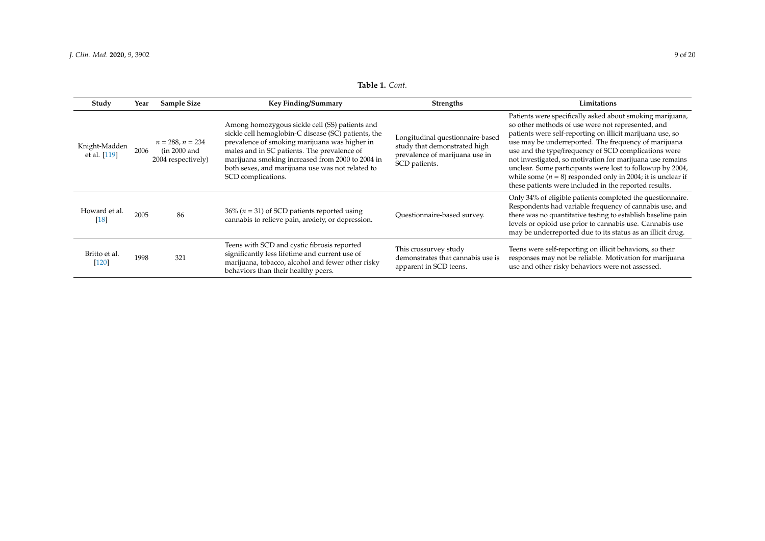|  | Table 1. Cont. |
|--|----------------|
|--|----------------|

<span id="page-8-0"></span>

| Study                         | Year | Sample Size                                              | Key Finding/Summary                                                                                                                                                                                                                                                                                                                 | <b>Strengths</b>                                                                                                    | Limitations                                                                                                                                                                                                                                                                                                                                                                                                                                                                                                                                     |
|-------------------------------|------|----------------------------------------------------------|-------------------------------------------------------------------------------------------------------------------------------------------------------------------------------------------------------------------------------------------------------------------------------------------------------------------------------------|---------------------------------------------------------------------------------------------------------------------|-------------------------------------------------------------------------------------------------------------------------------------------------------------------------------------------------------------------------------------------------------------------------------------------------------------------------------------------------------------------------------------------------------------------------------------------------------------------------------------------------------------------------------------------------|
| Knight-Madden<br>et al. [119] | 2006 | $n = 288, n = 234$<br>(in 2000 and<br>2004 respectively) | Among homozygous sickle cell (SS) patients and<br>sickle cell hemoglobin-C disease (SC) patients, the<br>prevalence of smoking marijuana was higher in<br>males and in SC patients. The prevalence of<br>marijuana smoking increased from 2000 to 2004 in<br>both sexes, and marijuana use was not related to<br>SCD complications. | Longitudinal questionnaire-based<br>study that demonstrated high<br>prevalence of marijuana use in<br>SCD patients. | Patients were specifically asked about smoking marijuana,<br>so other methods of use were not represented, and<br>patients were self-reporting on illicit marijuana use, so<br>use may be underreported. The frequency of marijuana<br>use and the type/frequency of SCD complications were<br>not investigated, so motivation for marijuana use remains<br>unclear. Some participants were lost to followup by 2004,<br>while some $(n = 8)$ responded only in 2004; it is unclear if<br>these patients were included in the reported results. |
| Howard et al.<br>[18]         | 2005 | 86                                                       | 36% ( $n = 31$ ) of SCD patients reported using<br>cannabis to relieve pain, anxiety, or depression.                                                                                                                                                                                                                                | Questionnaire-based survey.                                                                                         | Only 34% of eligible patients completed the questionnaire.<br>Respondents had variable frequency of cannabis use, and<br>there was no quantitative testing to establish baseline pain<br>levels or opioid use prior to cannabis use. Cannabis use<br>may be underreported due to its status as an illicit drug.                                                                                                                                                                                                                                 |
| Britto et al.<br>[120]        | 1998 | 321                                                      | Teens with SCD and cystic fibrosis reported<br>significantly less lifetime and current use of<br>marijuana, tobacco, alcohol and fewer other risky<br>behaviors than their healthy peers.                                                                                                                                           | This crossurvey study<br>demonstrates that cannabis use is<br>apparent in SCD teens.                                | Teens were self-reporting on illicit behaviors, so their<br>responses may not be reliable. Motivation for marijuana<br>use and other risky behaviors were not assessed.                                                                                                                                                                                                                                                                                                                                                                         |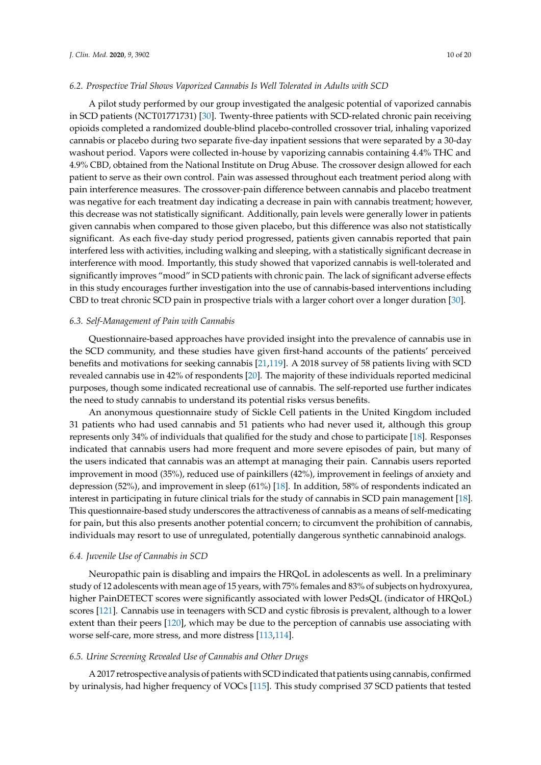#### *6.2. Prospective Trial Shows Vaporized Cannabis Is Well Tolerated in Adults with SCD*

A pilot study performed by our group investigated the analgesic potential of vaporized cannabis in SCD patients (NCT01771731) [\[30\]](#page-14-0). Twenty-three patients with SCD-related chronic pain receiving opioids completed a randomized double-blind placebo-controlled crossover trial, inhaling vaporized cannabis or placebo during two separate five-day inpatient sessions that were separated by a 30-day washout period. Vapors were collected in-house by vaporizing cannabis containing 4.4% THC and 4.9% CBD, obtained from the National Institute on Drug Abuse. The crossover design allowed for each patient to serve as their own control. Pain was assessed throughout each treatment period along with pain interference measures. The crossover-pain difference between cannabis and placebo treatment was negative for each treatment day indicating a decrease in pain with cannabis treatment; however, this decrease was not statistically significant. Additionally, pain levels were generally lower in patients given cannabis when compared to those given placebo, but this difference was also not statistically significant. As each five-day study period progressed, patients given cannabis reported that pain interfered less with activities, including walking and sleeping, with a statistically significant decrease in interference with mood. Importantly, this study showed that vaporized cannabis is well-tolerated and significantly improves "mood" in SCD patients with chronic pain. The lack of significant adverse effects in this study encourages further investigation into the use of cannabis-based interventions including CBD to treat chronic SCD pain in prospective trials with a larger cohort over a longer duration [\[30\]](#page-14-0).

## *6.3. Self-Management of Pain with Cannabis*

Questionnaire-based approaches have provided insight into the prevalence of cannabis use in the SCD community, and these studies have given first-hand accounts of the patients' perceived benefits and motivations for seeking cannabis [\[21](#page-13-9)[,119\]](#page-18-8). A 2018 survey of 58 patients living with SCD revealed cannabis use in 42% of respondents [\[20\]](#page-13-8). The majority of these individuals reported medicinal purposes, though some indicated recreational use of cannabis. The self-reported use further indicates the need to study cannabis to understand its potential risks versus benefits.

An anonymous questionnaire study of Sickle Cell patients in the United Kingdom included 31 patients who had used cannabis and 51 patients who had never used it, although this group represents only 34% of individuals that qualified for the study and chose to participate [\[18\]](#page-13-7). Responses indicated that cannabis users had more frequent and more severe episodes of pain, but many of the users indicated that cannabis was an attempt at managing their pain. Cannabis users reported improvement in mood (35%), reduced use of painkillers (42%), improvement in feelings of anxiety and depression (52%), and improvement in sleep (61%) [\[18\]](#page-13-7). In addition, 58% of respondents indicated an interest in participating in future clinical trials for the study of cannabis in SCD pain management [\[18\]](#page-13-7). This questionnaire-based study underscores the attractiveness of cannabis as a means of self-medicating for pain, but this also presents another potential concern; to circumvent the prohibition of cannabis, individuals may resort to use of unregulated, potentially dangerous synthetic cannabinoid analogs.

#### *6.4. Juvenile Use of Cannabis in SCD*

Neuropathic pain is disabling and impairs the HRQoL in adolescents as well. In a preliminary study of 12 adolescents with mean age of 15 years, with 75% females and 83% of subjects on hydroxyurea, higher PainDETECT scores were significantly associated with lower PedsQL (indicator of HRQoL) scores [\[121\]](#page-18-9). Cannabis use in teenagers with SCD and cystic fibrosis is prevalent, although to a lower extent than their peers [\[120\]](#page-18-10), which may be due to the perception of cannabis use associating with worse self-care, more stress, and more distress [\[113,](#page-18-11)[114\]](#page-18-12).

#### *6.5. Urine Screening Revealed Use of Cannabis and Other Drugs*

A 2017 retrospective analysis of patients with SCD indicated that patients using cannabis, confirmed by urinalysis, had higher frequency of VOCs [\[115\]](#page-18-13). This study comprised 37 SCD patients that tested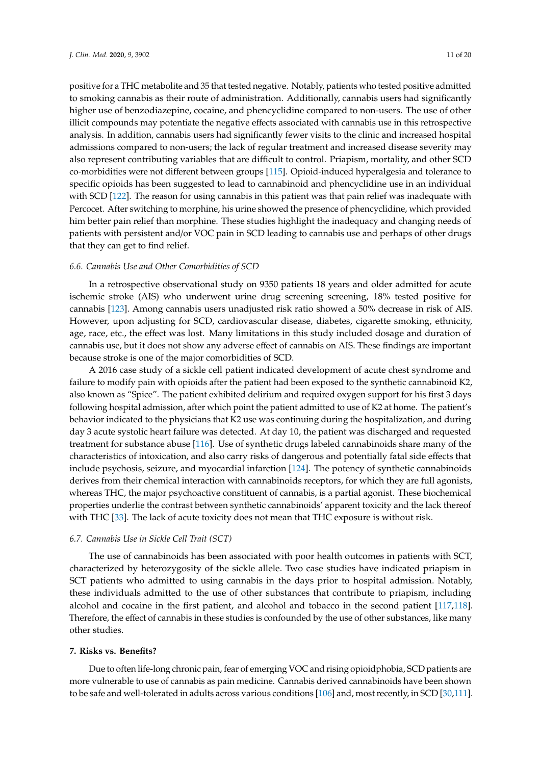positive for a THC metabolite and 35 that tested negative. Notably, patients who tested positive admitted to smoking cannabis as their route of administration. Additionally, cannabis users had significantly higher use of benzodiazepine, cocaine, and phencyclidine compared to non-users. The use of other illicit compounds may potentiate the negative effects associated with cannabis use in this retrospective analysis. In addition, cannabis users had significantly fewer visits to the clinic and increased hospital admissions compared to non-users; the lack of regular treatment and increased disease severity may also represent contributing variables that are difficult to control. Priapism, mortality, and other SCD co-morbidities were not different between groups [\[115\]](#page-18-13). Opioid-induced hyperalgesia and tolerance to specific opioids has been suggested to lead to cannabinoid and phencyclidine use in an individual with SCD [\[122\]](#page-18-14). The reason for using cannabis in this patient was that pain relief was inadequate with Percocet. After switching to morphine, his urine showed the presence of phencyclidine, which provided him better pain relief than morphine. These studies highlight the inadequacy and changing needs of patients with persistent and/or VOC pain in SCD leading to cannabis use and perhaps of other drugs that they can get to find relief.

#### *6.6. Cannabis Use and Other Comorbidities of SCD*

In a retrospective observational study on 9350 patients 18 years and older admitted for acute ischemic stroke (AIS) who underwent urine drug screening screening, 18% tested positive for cannabis [\[123\]](#page-18-15). Among cannabis users unadjusted risk ratio showed a 50% decrease in risk of AIS. However, upon adjusting for SCD, cardiovascular disease, diabetes, cigarette smoking, ethnicity, age, race, etc., the effect was lost. Many limitations in this study included dosage and duration of cannabis use, but it does not show any adverse effect of cannabis on AIS. These findings are important because stroke is one of the major comorbidities of SCD.

A 2016 case study of a sickle cell patient indicated development of acute chest syndrome and failure to modify pain with opioids after the patient had been exposed to the synthetic cannabinoid K2, also known as "Spice". The patient exhibited delirium and required oxygen support for his first 3 days following hospital admission, after which point the patient admitted to use of K2 at home. The patient's behavior indicated to the physicians that K2 use was continuing during the hospitalization, and during day 3 acute systolic heart failure was detected. At day 10, the patient was discharged and requested treatment for substance abuse [\[116\]](#page-18-16). Use of synthetic drugs labeled cannabinoids share many of the characteristics of intoxication, and also carry risks of dangerous and potentially fatal side effects that include psychosis, seizure, and myocardial infarction [\[124\]](#page-18-17). The potency of synthetic cannabinoids derives from their chemical interaction with cannabinoids receptors, for which they are full agonists, whereas THC, the major psychoactive constituent of cannabis, is a partial agonist. These biochemical properties underlie the contrast between synthetic cannabinoids' apparent toxicity and the lack thereof with THC [\[33\]](#page-14-8). The lack of acute toxicity does not mean that THC exposure is without risk.

#### *6.7. Cannabis Use in Sickle Cell Trait (SCT)*

The use of cannabinoids has been associated with poor health outcomes in patients with SCT, characterized by heterozygosity of the sickle allele. Two case studies have indicated priapism in SCT patients who admitted to using cannabis in the days prior to hospital admission. Notably, these individuals admitted to the use of other substances that contribute to priapism, including alcohol and cocaine in the first patient, and alcohol and tobacco in the second patient [\[117,](#page-18-18)[118\]](#page-18-19). Therefore, the effect of cannabis in these studies is confounded by the use of other substances, like many other studies.

# **7. Risks vs. Benefits?**

Due to often life-long chronic pain, fear of emerging VOC and rising opioidphobia, SCD patients are more vulnerable to use of cannabis as pain medicine. Cannabis derived cannabinoids have been shown to be safe and well-tolerated in adults across various conditions [\[106\]](#page-17-10) and, most recently, in SCD [\[30](#page-14-0)[,111\]](#page-17-16).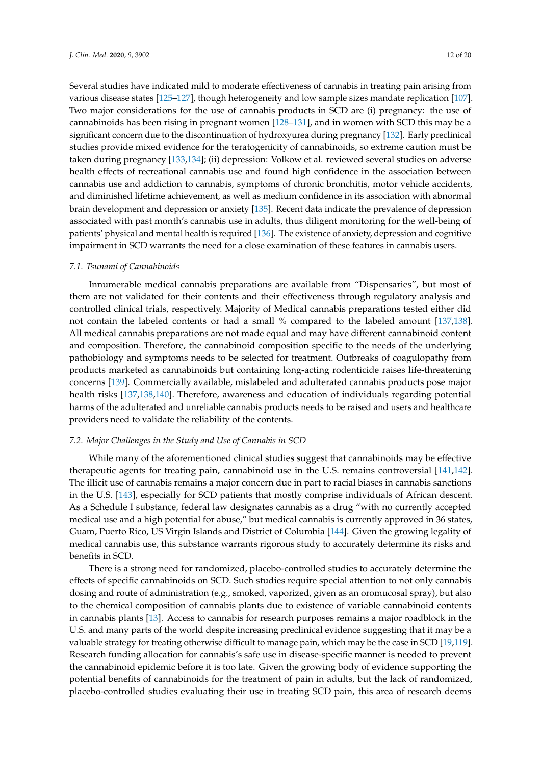Several studies have indicated mild to moderate effectiveness of cannabis in treating pain arising from various disease states [\[125–](#page-18-20)[127\]](#page-18-21), though heterogeneity and low sample sizes mandate replication [\[107\]](#page-17-11). Two major considerations for the use of cannabis products in SCD are (i) pregnancy: the use of cannabinoids has been rising in pregnant women [\[128–](#page-18-22)[131\]](#page-18-23), and in women with SCD this may be a significant concern due to the discontinuation of hydroxyurea during pregnancy [\[132\]](#page-19-0). Early preclinical studies provide mixed evidence for the teratogenicity of cannabinoids, so extreme caution must be taken during pregnancy [\[133,](#page-19-1)[134\]](#page-19-2); (ii) depression: Volkow et al. reviewed several studies on adverse health effects of recreational cannabis use and found high confidence in the association between cannabis use and addiction to cannabis, symptoms of chronic bronchitis, motor vehicle accidents, and diminished lifetime achievement, as well as medium confidence in its association with abnormal brain development and depression or anxiety [\[135\]](#page-19-3). Recent data indicate the prevalence of depression associated with past month's cannabis use in adults, thus diligent monitoring for the well-being of patients' physical and mental health is required [\[136\]](#page-19-4). The existence of anxiety, depression and cognitive impairment in SCD warrants the need for a close examination of these features in cannabis users.

#### *7.1. Tsunami of Cannabinoids*

Innumerable medical cannabis preparations are available from "Dispensaries", but most of them are not validated for their contents and their effectiveness through regulatory analysis and controlled clinical trials, respectively. Majority of Medical cannabis preparations tested either did not contain the labeled contents or had a small % compared to the labeled amount [\[137,](#page-19-5)[138\]](#page-19-6). All medical cannabis preparations are not made equal and may have different cannabinoid content and composition. Therefore, the cannabinoid composition specific to the needs of the underlying pathobiology and symptoms needs to be selected for treatment. Outbreaks of coagulopathy from products marketed as cannabinoids but containing long-acting rodenticide raises life-threatening concerns [\[139\]](#page-19-7). Commercially available, mislabeled and adulterated cannabis products pose major health risks [\[137,](#page-19-5)[138,](#page-19-6)[140\]](#page-19-8). Therefore, awareness and education of individuals regarding potential harms of the adulterated and unreliable cannabis products needs to be raised and users and healthcare providers need to validate the reliability of the contents.

## *7.2. Major Challenges in the Study and Use of Cannabis in SCD*

While many of the aforementioned clinical studies suggest that cannabinoids may be effective therapeutic agents for treating pain, cannabinoid use in the U.S. remains controversial [\[141,](#page-19-9)[142\]](#page-19-10). The illicit use of cannabis remains a major concern due in part to racial biases in cannabis sanctions in the U.S. [\[143\]](#page-19-11), especially for SCD patients that mostly comprise individuals of African descent. As a Schedule I substance, federal law designates cannabis as a drug "with no currently accepted medical use and a high potential for abuse," but medical cannabis is currently approved in 36 states, Guam, Puerto Rico, US Virgin Islands and District of Columbia [\[144\]](#page-19-12). Given the growing legality of medical cannabis use, this substance warrants rigorous study to accurately determine its risks and benefits in SCD.

There is a strong need for randomized, placebo-controlled studies to accurately determine the effects of specific cannabinoids on SCD. Such studies require special attention to not only cannabis dosing and route of administration (e.g., smoked, vaporized, given as an oromucosal spray), but also to the chemical composition of cannabis plants due to existence of variable cannabinoid contents in cannabis plants [\[13\]](#page-13-3). Access to cannabis for research purposes remains a major roadblock in the U.S. and many parts of the world despite increasing preclinical evidence suggesting that it may be a valuable strategy for treating otherwise difficult to manage pain, which may be the case in SCD [\[19](#page-13-19)[,119\]](#page-18-8). Research funding allocation for cannabis's safe use in disease-specific manner is needed to prevent the cannabinoid epidemic before it is too late. Given the growing body of evidence supporting the potential benefits of cannabinoids for the treatment of pain in adults, but the lack of randomized, placebo-controlled studies evaluating their use in treating SCD pain, this area of research deems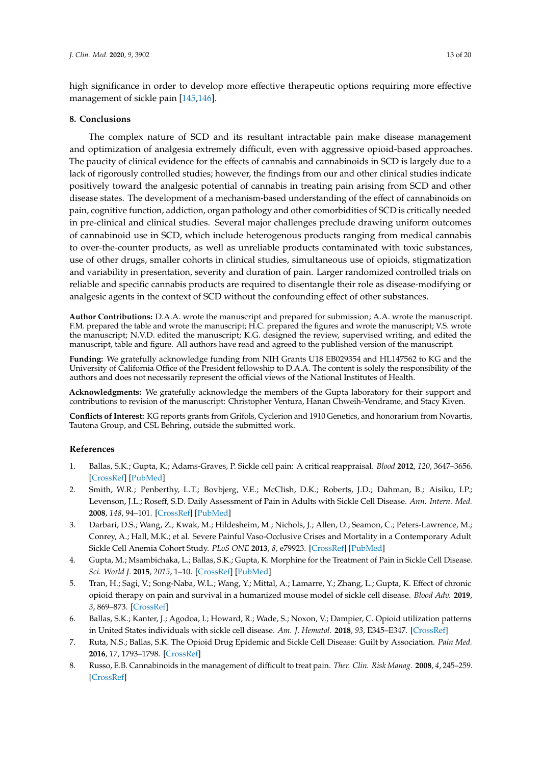high significance in order to develop more effective therapeutic options requiring more effective management of sickle pain [\[145](#page-19-13)[,146\]](#page-19-14).

# **8. Conclusions**

The complex nature of SCD and its resultant intractable pain make disease management and optimization of analgesia extremely difficult, even with aggressive opioid-based approaches. The paucity of clinical evidence for the effects of cannabis and cannabinoids in SCD is largely due to a lack of rigorously controlled studies; however, the findings from our and other clinical studies indicate positively toward the analgesic potential of cannabis in treating pain arising from SCD and other disease states. The development of a mechanism-based understanding of the effect of cannabinoids on pain, cognitive function, addiction, organ pathology and other comorbidities of SCD is critically needed in pre-clinical and clinical studies. Several major challenges preclude drawing uniform outcomes of cannabinoid use in SCD, which include heterogenous products ranging from medical cannabis to over-the-counter products, as well as unreliable products contaminated with toxic substances, use of other drugs, smaller cohorts in clinical studies, simultaneous use of opioids, stigmatization and variability in presentation, severity and duration of pain. Larger randomized controlled trials on reliable and specific cannabis products are required to disentangle their role as disease-modifying or analgesic agents in the context of SCD without the confounding effect of other substances.

**Author Contributions:** D.A.A. wrote the manuscript and prepared for submission; A.A. wrote the manuscript. F.M. prepared the table and wrote the manuscript; H.C. prepared the figures and wrote the manuscript; V.S. wrote the manuscript; N.V.D. edited the manuscript; K.G. designed the review, supervised writing, and edited the manuscript, table and figure. All authors have read and agreed to the published version of the manuscript.

**Funding:** We gratefully acknowledge funding from NIH Grants U18 EB029354 and HL147562 to KG and the University of California Office of the President fellowship to D.A.A. The content is solely the responsibility of the authors and does not necessarily represent the official views of the National Institutes of Health.

**Acknowledgments:** We gratefully acknowledge the members of the Gupta laboratory for their support and contributions to revision of the manuscript: Christopher Ventura, Hanan Chweih-Vendrame, and Stacy Kiven.

**Conflicts of Interest:** KG reports grants from Grifols, Cyclerion and 1910 Genetics, and honorarium from Novartis, Tautona Group, and CSL Behring, outside the submitted work.

# **References**

- <span id="page-12-0"></span>1. Ballas, S.K.; Gupta, K.; Adams-Graves, P. Sickle cell pain: A critical reappraisal. *Blood* **2012**, *120*, 3647–3656. [\[CrossRef\]](http://dx.doi.org/10.1182/blood-2012-04-383430) [\[PubMed\]](http://www.ncbi.nlm.nih.gov/pubmed/22923496)
- <span id="page-12-1"></span>2. Smith, W.R.; Penberthy, L.T.; Bovbjerg, V.E.; McClish, D.K.; Roberts, J.D.; Dahman, B.; Aisiku, I.P.; Levenson, J.L.; Roseff, S.D. Daily Assessment of Pain in Adults with Sickle Cell Disease. *Ann. Intern. Med.* **2008**, *148*, 94–101. [\[CrossRef\]](http://dx.doi.org/10.7326/0003-4819-148-2-200801150-00004) [\[PubMed\]](http://www.ncbi.nlm.nih.gov/pubmed/18195334)
- <span id="page-12-2"></span>3. Darbari, D.S.; Wang, Z.; Kwak, M.; Hildesheim, M.; Nichols, J.; Allen, D.; Seamon, C.; Peters-Lawrence, M.; Conrey, A.; Hall, M.K.; et al. Severe Painful Vaso-Occlusive Crises and Mortality in a Contemporary Adult Sickle Cell Anemia Cohort Study. *PLoS ONE* **2013**, *8*, e79923. [\[CrossRef\]](http://dx.doi.org/10.1371/journal.pone.0079923) [\[PubMed\]](http://www.ncbi.nlm.nih.gov/pubmed/24224021)
- <span id="page-12-3"></span>4. Gupta, M.; Msambichaka, L.; Ballas, S.K.; Gupta, K. Morphine for the Treatment of Pain in Sickle Cell Disease. *Sci. World J.* **2015**, *2015*, 1–10. [\[CrossRef\]](http://dx.doi.org/10.1155/2015/540154) [\[PubMed\]](http://www.ncbi.nlm.nih.gov/pubmed/25654130)
- <span id="page-12-4"></span>5. Tran, H.; Sagi, V.; Song-Naba, W.L.; Wang, Y.; Mittal, A.; Lamarre, Y.; Zhang, L.; Gupta, K. Effect of chronic opioid therapy on pain and survival in a humanized mouse model of sickle cell disease. *Blood Adv.* **2019**, *3*, 869–873. [\[CrossRef\]](http://dx.doi.org/10.1182/bloodadvances.2018024299)
- <span id="page-12-5"></span>6. Ballas, S.K.; Kanter, J.; Agodoa, I.; Howard, R.; Wade, S.; Noxon, V.; Dampier, C. Opioid utilization patterns in United States individuals with sickle cell disease. *Am. J. Hematol.* **2018**, *93*, E345–E347. [\[CrossRef\]](http://dx.doi.org/10.1002/ajh.25233)
- <span id="page-12-6"></span>7. Ruta, N.S.; Ballas, S.K. The Opioid Drug Epidemic and Sickle Cell Disease: Guilt by Association. *Pain Med.* **2016**, *17*, 1793–1798. [\[CrossRef\]](http://dx.doi.org/10.1093/pm/pnw074)
- <span id="page-12-7"></span>8. Russo, E.B. Cannabinoids in the management of difficult to treat pain. *Ther. Clin. Risk Manag.* **2008**, *4*, 245–259. [\[CrossRef\]](http://dx.doi.org/10.2147/TCRM.S1928)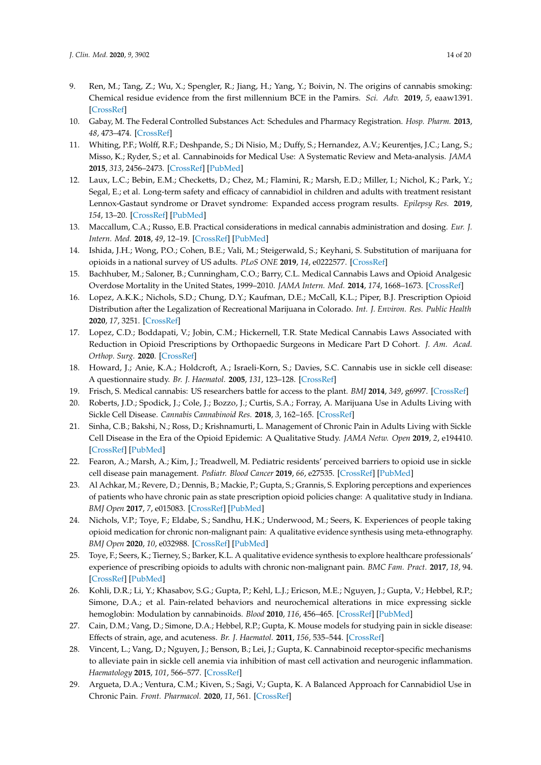- <span id="page-13-0"></span>9. Ren, M.; Tang, Z.; Wu, X.; Spengler, R.; Jiang, H.; Yang, Y.; Boivin, N. The origins of cannabis smoking: Chemical residue evidence from the first millennium BCE in the Pamirs. *Sci. Adv.* **2019**, *5*, eaaw1391. [\[CrossRef\]](http://dx.doi.org/10.1126/sciadv.aaw1391)
- <span id="page-13-1"></span>10. Gabay, M. The Federal Controlled Substances Act: Schedules and Pharmacy Registration. *Hosp. Pharm.* **2013**, *48*, 473–474. [\[CrossRef\]](http://dx.doi.org/10.1310/hpj4806-473)
- <span id="page-13-18"></span><span id="page-13-2"></span>11. Whiting, P.F.; Wolff, R.F.; Deshpande, S.; Di Nisio, M.; Duffy, S.; Hernandez, A.V.; Keurentjes, J.C.; Lang, S.; Misso, K.; Ryder, S.; et al. Cannabinoids for Medical Use: A Systematic Review and Meta-analysis. *JAMA* **2015**, *313*, 2456–2473. [\[CrossRef\]](http://dx.doi.org/10.1001/jama.2015.6358) [\[PubMed\]](http://www.ncbi.nlm.nih.gov/pubmed/26103030)
- <span id="page-13-17"></span><span id="page-13-16"></span>12. Laux, L.C.; Bebin, E.M.; Checketts, D.; Chez, M.; Flamini, R.; Marsh, E.D.; Miller, I.; Nichol, K.; Park, Y.; Segal, E.; et al. Long-term safety and efficacy of cannabidiol in children and adults with treatment resistant Lennox-Gastaut syndrome or Dravet syndrome: Expanded access program results. *Epilepsy Res.* **2019**, *154*, 13–20. [\[CrossRef\]](http://dx.doi.org/10.1016/j.eplepsyres.2019.03.015) [\[PubMed\]](http://www.ncbi.nlm.nih.gov/pubmed/31022635)
- <span id="page-13-3"></span>13. Maccallum, C.A.; Russo, E.B. Practical considerations in medical cannabis administration and dosing. *Eur. J. Intern. Med.* **2018**, *49*, 12–19. [\[CrossRef\]](http://dx.doi.org/10.1016/j.ejim.2018.01.004) [\[PubMed\]](http://www.ncbi.nlm.nih.gov/pubmed/29307505)
- <span id="page-13-4"></span>14. Ishida, J.H.; Wong, P.O.; Cohen, B.E.; Vali, M.; Steigerwald, S.; Keyhani, S. Substitution of marijuana for opioids in a national survey of US adults. *PLoS ONE* **2019**, *14*, e0222577. [\[CrossRef\]](http://dx.doi.org/10.1371/journal.pone.0222577)
- <span id="page-13-5"></span>15. Bachhuber, M.; Saloner, B.; Cunningham, C.O.; Barry, C.L. Medical Cannabis Laws and Opioid Analgesic Overdose Mortality in the United States, 1999–2010. *JAMA Intern. Med.* **2014**, *174*, 1668–1673. [\[CrossRef\]](http://dx.doi.org/10.1001/jamainternmed.2014.4005)
- 16. Lopez, A.K.K.; Nichols, S.D.; Chung, D.Y.; Kaufman, D.E.; McCall, K.L.; Piper, B.J. Prescription Opioid Distribution after the Legalization of Recreational Marijuana in Colorado. *Int. J. Environ. Res. Public Health* **2020**, *17*, 3251. [\[CrossRef\]](http://dx.doi.org/10.3390/ijerph17093251)
- <span id="page-13-6"></span>17. Lopez, C.D.; Boddapati, V.; Jobin, C.M.; Hickernell, T.R. State Medical Cannabis Laws Associated with Reduction in Opioid Prescriptions by Orthopaedic Surgeons in Medicare Part D Cohort. *J. Am. Acad. Orthop. Surg.* **2020**. [\[CrossRef\]](http://dx.doi.org/10.5435/JAAOS-D-19-00767)
- <span id="page-13-7"></span>18. Howard, J.; Anie, K.A.; Holdcroft, A.; Israeli-Korn, S.; Davies, S.C. Cannabis use in sickle cell disease: A questionnaire study. *Br. J. Haematol.* **2005**, *131*, 123–128. [\[CrossRef\]](http://dx.doi.org/10.1111/j.1365-2141.2005.05723.x)
- <span id="page-13-19"></span>19. Frisch, S. Medical cannabis: US researchers battle for access to the plant. *BMJ* **2014**, *349*, g6997. [\[CrossRef\]](http://dx.doi.org/10.1136/bmj.g6997)
- <span id="page-13-8"></span>20. Roberts, J.D.; Spodick, J.; Cole, J.; Bozzo, J.; Curtis, S.A.; Forray, A. Marijuana Use in Adults Living with Sickle Cell Disease. *Cannabis Cannabinoid Res.* **2018**, *3*, 162–165. [\[CrossRef\]](http://dx.doi.org/10.1089/can.2018.0001)
- <span id="page-13-9"></span>21. Sinha, C.B.; Bakshi, N.; Ross, D.; Krishnamurti, L. Management of Chronic Pain in Adults Living with Sickle Cell Disease in the Era of the Opioid Epidemic: A Qualitative Study. *JAMA Netw. Open* **2019**, *2*, e194410. [\[CrossRef\]](http://dx.doi.org/10.1001/jamanetworkopen.2019.4410) [\[PubMed\]](http://www.ncbi.nlm.nih.gov/pubmed/31125105)
- <span id="page-13-10"></span>22. Fearon, A.; Marsh, A.; Kim, J.; Treadwell, M. Pediatric residents' perceived barriers to opioid use in sickle cell disease pain management. *Pediatr. Blood Cancer* **2019**, *66*, e27535. [\[CrossRef\]](http://dx.doi.org/10.1002/pbc.27535) [\[PubMed\]](http://www.ncbi.nlm.nih.gov/pubmed/30387290)
- <span id="page-13-11"></span>23. Al Achkar, M.; Revere, D.; Dennis, B.; Mackie, P.; Gupta, S.; Grannis, S. Exploring perceptions and experiences of patients who have chronic pain as state prescription opioid policies change: A qualitative study in Indiana. *BMJ Open* **2017**, *7*, e015083. [\[CrossRef\]](http://dx.doi.org/10.1136/bmjopen-2016-015083) [\[PubMed\]](http://www.ncbi.nlm.nih.gov/pubmed/29133312)
- 24. Nichols, V.P.; Toye, F.; Eldabe, S.; Sandhu, H.K.; Underwood, M.; Seers, K. Experiences of people taking opioid medication for chronic non-malignant pain: A qualitative evidence synthesis using meta-ethnography. *BMJ Open* **2020**, *10*, e032988. [\[CrossRef\]](http://dx.doi.org/10.1136/bmjopen-2019-032988) [\[PubMed\]](http://www.ncbi.nlm.nih.gov/pubmed/32075828)
- <span id="page-13-12"></span>25. Toye, F.; Seers, K.; Tierney, S.; Barker, K.L. A qualitative evidence synthesis to explore healthcare professionals' experience of prescribing opioids to adults with chronic non-malignant pain. *BMC Fam. Pract.* **2017**, *18*, 94. [\[CrossRef\]](http://dx.doi.org/10.1186/s12875-017-0663-8) [\[PubMed\]](http://www.ncbi.nlm.nih.gov/pubmed/29178843)
- <span id="page-13-13"></span>26. Kohli, D.R.; Li, Y.; Khasabov, S.G.; Gupta, P.; Kehl, L.J.; Ericson, M.E.; Nguyen, J.; Gupta, V.; Hebbel, R.P.; Simone, D.A.; et al. Pain-related behaviors and neurochemical alterations in mice expressing sickle hemoglobin: Modulation by cannabinoids. *Blood* **2010**, *116*, 456–465. [\[CrossRef\]](http://dx.doi.org/10.1182/blood-2010-01-260372) [\[PubMed\]](http://www.ncbi.nlm.nih.gov/pubmed/20304807)
- 27. Cain, D.M.; Vang, D.; Simone, D.A.; Hebbel, R.P.; Gupta, K. Mouse models for studying pain in sickle disease: Effects of strain, age, and acuteness. *Br. J. Haematol.* **2011**, *156*, 535–544. [\[CrossRef\]](http://dx.doi.org/10.1111/j.1365-2141.2011.08977.x)
- <span id="page-13-15"></span>28. Vincent, L.; Vang, D.; Nguyen, J.; Benson, B.; Lei, J.; Gupta, K. Cannabinoid receptor-specific mechanisms to alleviate pain in sickle cell anemia via inhibition of mast cell activation and neurogenic inflammation. *Haematology* **2015**, *101*, 566–577. [\[CrossRef\]](http://dx.doi.org/10.3324/haematol.2015.136523)
- <span id="page-13-14"></span>29. Argueta, D.A.; Ventura, C.M.; Kiven, S.; Sagi, V.; Gupta, K. A Balanced Approach for Cannabidiol Use in Chronic Pain. *Front. Pharmacol.* **2020**, *11*, 561. [\[CrossRef\]](http://dx.doi.org/10.3389/fphar.2020.00561)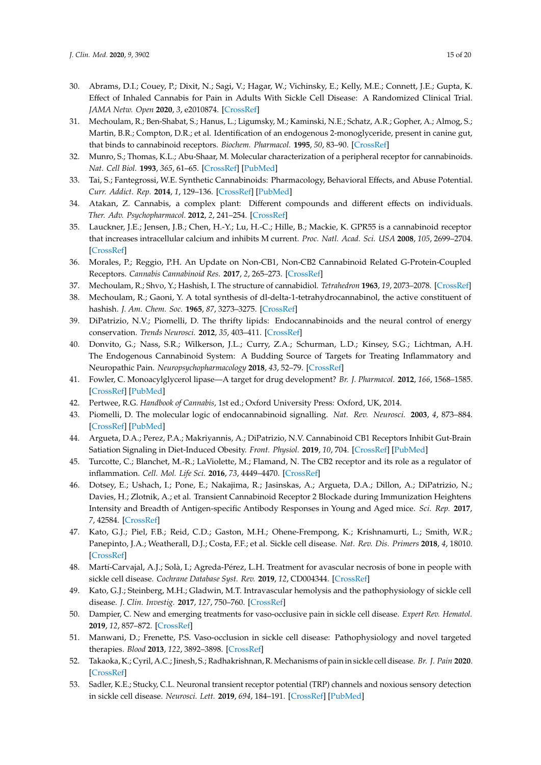- <span id="page-14-23"></span><span id="page-14-0"></span>30. Abrams, D.I.; Couey, P.; Dixit, N.; Sagi, V.; Hagar, W.; Vichinsky, E.; Kelly, M.E.; Connett, J.E.; Gupta, K. Effect of Inhaled Cannabis for Pain in Adults With Sickle Cell Disease: A Randomized Clinical Trial. *JAMA Netw. Open* **2020**, *3*, e2010874. [\[CrossRef\]](http://dx.doi.org/10.1001/jamanetworkopen.2020.10874)
- <span id="page-14-1"></span>31. Mechoulam, R.; Ben-Shabat, S.; Hanus, L.; Ligumsky, M.; Kaminski, N.E.; Schatz, A.R.; Gopher, A.; Almog, S.; Martin, B.R.; Compton, D.R.; et al. Identification of an endogenous 2-monoglyceride, present in canine gut, that binds to cannabinoid receptors. *Biochem. Pharmacol.* **1995**, *50*, 83–90. [\[CrossRef\]](http://dx.doi.org/10.1016/0006-2952(95)00109-D)
- 32. Munro, S.; Thomas, K.L.; Abu-Shaar, M. Molecular characterization of a peripheral receptor for cannabinoids. *Nat. Cell Biol.* **1993**, *365*, 61–65. [\[CrossRef\]](http://dx.doi.org/10.1038/365061a0) [\[PubMed\]](http://www.ncbi.nlm.nih.gov/pubmed/7689702)
- <span id="page-14-8"></span>33. Tai, S.; Fantegrossi, W.E. Synthetic Cannabinoids: Pharmacology, Behavioral Effects, and Abuse Potential. *Curr. Addict. Rep.* **2014**, *1*, 129–136. [\[CrossRef\]](http://dx.doi.org/10.1007/s40429-014-0014-y) [\[PubMed\]](http://www.ncbi.nlm.nih.gov/pubmed/26413452)
- <span id="page-14-2"></span>34. Atakan, Z. Cannabis, a complex plant: Different compounds and different effects on individuals. *Ther. Adv. Psychopharmacol.* **2012**, *2*, 241–254. [\[CrossRef\]](http://dx.doi.org/10.1177/2045125312457586)
- <span id="page-14-3"></span>35. Lauckner, J.E.; Jensen, J.B.; Chen, H.-Y.; Lu, H.-C.; Hille, B.; Mackie, K. GPR55 is a cannabinoid receptor that increases intracellular calcium and inhibits M current. *Proc. Natl. Acad. Sci. USA* **2008**, *105*, 2699–2704. [\[CrossRef\]](http://dx.doi.org/10.1073/pnas.0711278105)
- <span id="page-14-4"></span>36. Morales, P.; Reggio, P.H. An Update on Non-CB1, Non-CB2 Cannabinoid Related G-Protein-Coupled Receptors. *Cannabis Cannabinoid Res.* **2017**, *2*, 265–273. [\[CrossRef\]](http://dx.doi.org/10.1089/can.2017.0036)
- <span id="page-14-5"></span>37. Mechoulam, R.; Shvo, Y.; Hashish, I. The structure of cannabidiol. *Tetrahedron* **1963**, *19*, 2073–2078. [\[CrossRef\]](http://dx.doi.org/10.1016/0040-4020(63)85022-X)
- <span id="page-14-6"></span>38. Mechoulam, R.; Gaoni, Y. A total synthesis of dl-delta-1-tetrahydrocannabinol, the active constituent of hashish. *J. Am. Chem. Soc.* **1965**, *87*, 3273–3275. [\[CrossRef\]](http://dx.doi.org/10.1021/ja01092a065)
- <span id="page-14-7"></span>39. DiPatrizio, N.V.; Piomelli, D. The thrifty lipids: Endocannabinoids and the neural control of energy conservation. *Trends Neurosci.* **2012**, *35*, 403–411. [\[CrossRef\]](http://dx.doi.org/10.1016/j.tins.2012.04.006)
- <span id="page-14-9"></span>40. Donvito, G.; Nass, S.R.; Wilkerson, J.L.; Curry, Z.A.; Schurman, L.D.; Kinsey, S.G.; Lichtman, A.H. The Endogenous Cannabinoid System: A Budding Source of Targets for Treating Inflammatory and Neuropathic Pain. *Neuropsychopharmacology* **2018**, *43*, 52–79. [\[CrossRef\]](http://dx.doi.org/10.1038/npp.2017.204)
- <span id="page-14-10"></span>41. Fowler, C. Monoacylglycerol lipase—A target for drug development? *Br. J. Pharmacol.* **2012**, *166*, 1568–1585. [\[CrossRef\]](http://dx.doi.org/10.1111/j.1476-5381.2012.01950.x) [\[PubMed\]](http://www.ncbi.nlm.nih.gov/pubmed/22428756)
- <span id="page-14-11"></span>42. Pertwee, R.G. *Handbook of Cannabis*, 1st ed.; Oxford University Press: Oxford, UK, 2014.
- <span id="page-14-12"></span>43. Piomelli, D. The molecular logic of endocannabinoid signalling. *Nat. Rev. Neurosci.* **2003**, *4*, 873–884. [\[CrossRef\]](http://dx.doi.org/10.1038/nrn1247) [\[PubMed\]](http://www.ncbi.nlm.nih.gov/pubmed/14595399)
- <span id="page-14-13"></span>44. Argueta, D.A.; Perez, P.A.; Makriyannis, A.; DiPatrizio, N.V. Cannabinoid CB1 Receptors Inhibit Gut-Brain Satiation Signaling in Diet-Induced Obesity. *Front. Physiol.* **2019**, *10*, 704. [\[CrossRef\]](http://dx.doi.org/10.3389/fphys.2019.00704) [\[PubMed\]](http://www.ncbi.nlm.nih.gov/pubmed/31281260)
- <span id="page-14-14"></span>45. Turcotte, C.; Blanchet, M.-R.; LaViolette, M.; Flamand, N. The CB2 receptor and its role as a regulator of inflammation. *Cell. Mol. Life Sci.* **2016**, *73*, 4449–4470. [\[CrossRef\]](http://dx.doi.org/10.1007/s00018-016-2300-4)
- <span id="page-14-15"></span>46. Dotsey, E.; Ushach, I.; Pone, E.; Nakajima, R.; Jasinskas, A.; Argueta, D.A.; Dillon, A.; DiPatrizio, N.; Davies, H.; Zlotnik, A.; et al. Transient Cannabinoid Receptor 2 Blockade during Immunization Heightens Intensity and Breadth of Antigen-specific Antibody Responses in Young and Aged mice. *Sci. Rep.* **2017**, *7*, 42584. [\[CrossRef\]](http://dx.doi.org/10.1038/srep42584)
- <span id="page-14-16"></span>47. Kato, G.J.; Piel, F.B.; Reid, C.D.; Gaston, M.H.; Ohene-Frempong, K.; Krishnamurti, L.; Smith, W.R.; Panepinto, J.A.; Weatherall, D.J.; Costa, F.F.; et al. Sickle cell disease. *Nat. Rev. Dis. Primers* **2018**, *4*, 18010. [\[CrossRef\]](http://dx.doi.org/10.1038/nrdp.2018.10)
- <span id="page-14-17"></span>48. Martí-Carvajal, A.J.; Solà, I.; Agreda-Pérez, L.H. Treatment for avascular necrosis of bone in people with sickle cell disease. *Cochrane Database Syst. Rev.* **2019**, *12*, CD004344. [\[CrossRef\]](http://dx.doi.org/10.1002/14651858.CD004344.pub7)
- <span id="page-14-18"></span>49. Kato, G.J.; Steinberg, M.H.; Gladwin, M.T. Intravascular hemolysis and the pathophysiology of sickle cell disease. *J. Clin. Investig.* **2017**, *127*, 750–760. [\[CrossRef\]](http://dx.doi.org/10.1172/JCI89741)
- <span id="page-14-19"></span>50. Dampier, C. New and emerging treatments for vaso-occlusive pain in sickle cell disease. *Expert Rev. Hematol.* **2019**, *12*, 857–872. [\[CrossRef\]](http://dx.doi.org/10.1080/17474086.2019.1649131)
- <span id="page-14-20"></span>51. Manwani, D.; Frenette, P.S. Vaso-occlusion in sickle cell disease: Pathophysiology and novel targeted therapies. *Blood* **2013**, *122*, 3892–3898. [\[CrossRef\]](http://dx.doi.org/10.1182/blood-2013-05-498311)
- <span id="page-14-21"></span>52. Takaoka, K.; Cyril, A.C.; Jinesh, S.; Radhakrishnan, R. Mechanisms of pain in sickle cell disease. *Br. J. Pain* **2020**. [\[CrossRef\]](http://dx.doi.org/10.1177/2049463720920682)
- <span id="page-14-22"></span>53. Sadler, K.E.; Stucky, C.L. Neuronal transient receptor potential (TRP) channels and noxious sensory detection in sickle cell disease. *Neurosci. Lett.* **2019**, *694*, 184–191. [\[CrossRef\]](http://dx.doi.org/10.1016/j.neulet.2018.11.056) [\[PubMed\]](http://www.ncbi.nlm.nih.gov/pubmed/30508569)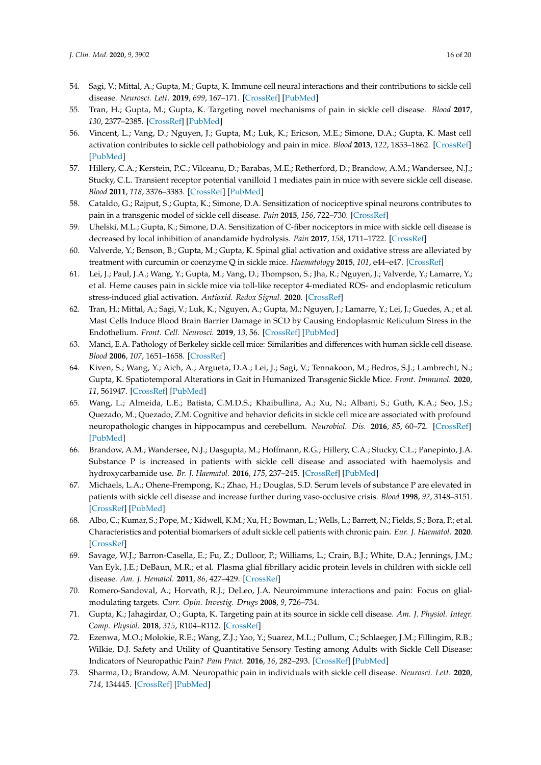- 54. Sagi, V.; Mittal, A.; Gupta, M.; Gupta, K. Immune cell neural interactions and their contributions to sickle cell disease. *Neurosci. Lett.* **2019**, *699*, 167–171. [\[CrossRef\]](http://dx.doi.org/10.1016/j.neulet.2019.02.008) [\[PubMed\]](http://www.ncbi.nlm.nih.gov/pubmed/30738871)
- <span id="page-15-0"></span>55. Tran, H.; Gupta, M.; Gupta, K. Targeting novel mechanisms of pain in sickle cell disease. *Blood* **2017**, *130*, 2377–2385. [\[CrossRef\]](http://dx.doi.org/10.1182/blood-2017-05-782003) [\[PubMed\]](http://www.ncbi.nlm.nih.gov/pubmed/29187376)
- <span id="page-15-1"></span>56. Vincent, L.; Vang, D.; Nguyen, J.; Gupta, M.; Luk, K.; Ericson, M.E.; Simone, D.A.; Gupta, K. Mast cell activation contributes to sickle cell pathobiology and pain in mice. *Blood* **2013**, *122*, 1853–1862. [\[CrossRef\]](http://dx.doi.org/10.1182/blood-2013-04-498105) [\[PubMed\]](http://www.ncbi.nlm.nih.gov/pubmed/23775718)
- <span id="page-15-2"></span>57. Hillery, C.A.; Kerstein, P.C.; Vilceanu, D.; Barabas, M.E.; Retherford, D.; Brandow, A.M.; Wandersee, N.J.; Stucky, C.L. Transient receptor potential vanilloid 1 mediates pain in mice with severe sickle cell disease. *Blood* **2011**, *118*, 3376–3383. [\[CrossRef\]](http://dx.doi.org/10.1182/blood-2010-12-327429) [\[PubMed\]](http://www.ncbi.nlm.nih.gov/pubmed/21708890)
- <span id="page-15-3"></span>58. Cataldo, G.; Rajput, S.; Gupta, K.; Simone, D.A. Sensitization of nociceptive spinal neurons contributes to pain in a transgenic model of sickle cell disease. *Pain* **2015**, *156*, 722–730. [\[CrossRef\]](http://dx.doi.org/10.1097/j.pain.0000000000000104)
- <span id="page-15-4"></span>59. Uhelski, M.L.; Gupta, K.; Simone, D.A. Sensitization of C-fiber nociceptors in mice with sickle cell disease is decreased by local inhibition of anandamide hydrolysis. *Pain* **2017**, *158*, 1711–1722. [\[CrossRef\]](http://dx.doi.org/10.1097/j.pain.0000000000000966)
- <span id="page-15-5"></span>60. Valverde, Y.; Benson, B.; Gupta, M.; Gupta, K. Spinal glial activation and oxidative stress are alleviated by treatment with curcumin or coenzyme Q in sickle mice. *Haematology* **2015**, *101*, e44–e47. [\[CrossRef\]](http://dx.doi.org/10.3324/haematol.2015.137489)
- <span id="page-15-6"></span>61. Lei, J.; Paul, J.A.; Wang, Y.; Gupta, M.; Vang, D.; Thompson, S.; Jha, R.; Nguyen, J.; Valverde, Y.; Lamarre, Y.; et al. Heme causes pain in sickle mice via toll-like receptor 4-mediated ROS- and endoplasmic reticulum stress-induced glial activation. *Antioxid. Redox Signal.* **2020**. [\[CrossRef\]](http://dx.doi.org/10.1089/ars.2019.7913)
- <span id="page-15-7"></span>62. Tran, H.; Mittal, A.; Sagi, V.; Luk, K.; Nguyen, A.; Gupta, M.; Nguyen, J.; Lamarre, Y.; Lei, J.; Guedes, A.; et al. Mast Cells Induce Blood Brain Barrier Damage in SCD by Causing Endoplasmic Reticulum Stress in the Endothelium. *Front. Cell. Neurosci.* **2019**, *13*, 56. [\[CrossRef\]](http://dx.doi.org/10.3389/fncel.2019.00056) [\[PubMed\]](http://www.ncbi.nlm.nih.gov/pubmed/30837844)
- <span id="page-15-8"></span>63. Manci, E.A. Pathology of Berkeley sickle cell mice: Similarities and differences with human sickle cell disease. *Blood* **2006**, *107*, 1651–1658. [\[CrossRef\]](http://dx.doi.org/10.1182/blood-2005-07-2839)
- <span id="page-15-9"></span>64. Kiven, S.; Wang, Y.; Aich, A.; Argueta, D.A.; Lei, J.; Sagi, V.; Tennakoon, M.; Bedros, S.J.; Lambrecht, N.; Gupta, K. Spatiotemporal Alterations in Gait in Humanized Transgenic Sickle Mice. *Front. Immunol.* **2020**, *11*, 561947. [\[CrossRef\]](http://dx.doi.org/10.3389/fimmu.2020.561947) [\[PubMed\]](http://www.ncbi.nlm.nih.gov/pubmed/33178189)
- <span id="page-15-10"></span>65. Wang, L.; Almeida, L.E.; Batista, C.M.D.S.; Khaibullina, A.; Xu, N.; Albani, S.; Guth, K.A.; Seo, J.S.; Quezado, M.; Quezado, Z.M. Cognitive and behavior deficits in sickle cell mice are associated with profound neuropathologic changes in hippocampus and cerebellum. *Neurobiol. Dis.* **2016**, *85*, 60–72. [\[CrossRef\]](http://dx.doi.org/10.1016/j.nbd.2015.10.004) [\[PubMed\]](http://www.ncbi.nlm.nih.gov/pubmed/26462816)
- <span id="page-15-11"></span>66. Brandow, A.M.; Wandersee, N.J.; Dasgupta, M.; Hoffmann, R.G.; Hillery, C.A.; Stucky, C.L.; Panepinto, J.A. Substance P is increased in patients with sickle cell disease and associated with haemolysis and hydroxycarbamide use. *Br. J. Haematol.* **2016**, *175*, 237–245. [\[CrossRef\]](http://dx.doi.org/10.1111/bjh.14300) [\[PubMed\]](http://www.ncbi.nlm.nih.gov/pubmed/27539682)
- <span id="page-15-16"></span>67. Michaels, L.A.; Ohene-Frempong, K.; Zhao, H.; Douglas, S.D. Serum levels of substance P are elevated in patients with sickle cell disease and increase further during vaso-occlusive crisis. *Blood* **1998**, *92*, 3148–3151. [\[CrossRef\]](http://dx.doi.org/10.1182/blood.V92.9.3148) [\[PubMed\]](http://www.ncbi.nlm.nih.gov/pubmed/9787150)
- <span id="page-15-12"></span>68. Albo, C.; Kumar, S.; Pope, M.; Kidwell, K.M.; Xu, H.; Bowman, L.; Wells, L.; Barrett, N.; Fields, S.; Bora, P.; et al. Characteristics and potential biomarkers of adult sickle cell patients with chronic pain. *Eur. J. Haematol.* **2020**. [\[CrossRef\]](http://dx.doi.org/10.1111/ejh.13461)
- <span id="page-15-13"></span>69. Savage, W.J.; Barron-Casella, E.; Fu, Z.; Dulloor, P.; Williams, L.; Crain, B.J.; White, D.A.; Jennings, J.M.; Van Eyk, J.E.; DeBaun, M.R.; et al. Plasma glial fibrillary acidic protein levels in children with sickle cell disease. *Am. J. Hematol.* **2011**, *86*, 427–429. [\[CrossRef\]](http://dx.doi.org/10.1002/ajh.21995)
- <span id="page-15-14"></span>70. Romero-Sandoval, A.; Horvath, R.J.; DeLeo, J.A. Neuroimmune interactions and pain: Focus on glialmodulating targets. *Curr. Opin. Investig. Drugs* **2008**, *9*, 726–734.
- 71. Gupta, K.; Jahagirdar, O.; Gupta, K. Targeting pain at its source in sickle cell disease. *Am. J. Physiol. Integr. Comp. Physiol.* **2018**, *315*, R104–R112. [\[CrossRef\]](http://dx.doi.org/10.1152/ajpregu.00021.2018)
- <span id="page-15-15"></span>72. Ezenwa, M.O.; Molokie, R.E.; Wang, Z.J.; Yao, Y.; Suarez, M.L.; Pullum, C.; Schlaeger, J.M.; Fillingim, R.B.; Wilkie, D.J. Safety and Utility of Quantitative Sensory Testing among Adults with Sickle Cell Disease: Indicators of Neuropathic Pain? *Pain Pract.* **2016**, *16*, 282–293. [\[CrossRef\]](http://dx.doi.org/10.1111/papr.12279) [\[PubMed\]](http://www.ncbi.nlm.nih.gov/pubmed/25581383)
- 73. Sharma, D.; Brandow, A.M. Neuropathic pain in individuals with sickle cell disease. *Neurosci. Lett.* **2020**, *714*, 134445. [\[CrossRef\]](http://dx.doi.org/10.1016/j.neulet.2019.134445) [\[PubMed\]](http://www.ncbi.nlm.nih.gov/pubmed/31454562)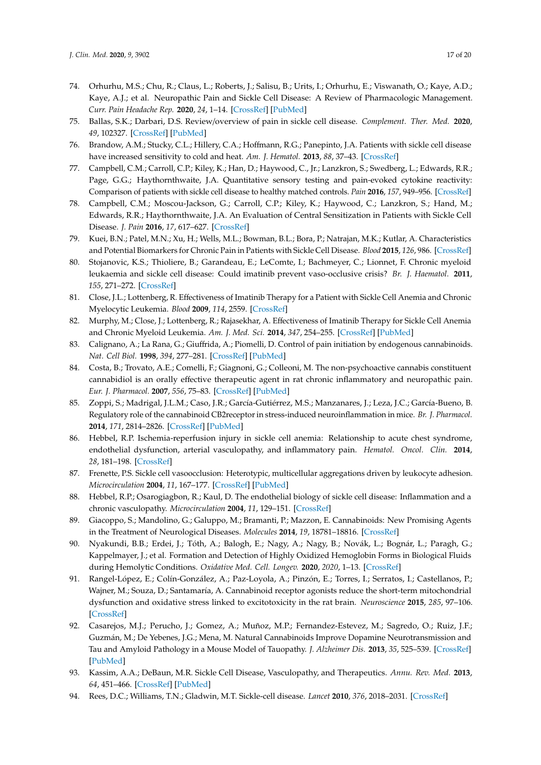- 74. Orhurhu, M.S.; Chu, R.; Claus, L.; Roberts, J.; Salisu, B.; Urits, I.; Orhurhu, E.; Viswanath, O.; Kaye, A.D.; Kaye, A.J.; et al. Neuropathic Pain and Sickle Cell Disease: A Review of Pharmacologic Management. *Curr. Pain Headache Rep.* **2020**, *24*, 1–14. [\[CrossRef\]](http://dx.doi.org/10.1007/s11916-020-00885-5) [\[PubMed\]](http://www.ncbi.nlm.nih.gov/pubmed/32705357)
- <span id="page-16-0"></span>75. Ballas, S.K.; Darbari, D.S. Review/overview of pain in sickle cell disease. *Complement. Ther. Med.* **2020**, *49*, 102327. [\[CrossRef\]](http://dx.doi.org/10.1016/j.ctim.2020.102327) [\[PubMed\]](http://www.ncbi.nlm.nih.gov/pubmed/32147066)
- <span id="page-16-1"></span>76. Brandow, A.M.; Stucky, C.L.; Hillery, C.A.; Hoffmann, R.G.; Panepinto, J.A. Patients with sickle cell disease have increased sensitivity to cold and heat. *Am. J. Hematol.* **2013**, *88*, 37–43. [\[CrossRef\]](http://dx.doi.org/10.1002/ajh.23341)
- 77. Campbell, C.M.; Carroll, C.P.; Kiley, K.; Han, D.; Haywood, C., Jr.; Lanzkron, S.; Swedberg, L.; Edwards, R.R.; Page, G.G.; Haythornthwaite, J.A. Quantitative sensory testing and pain-evoked cytokine reactivity: Comparison of patients with sickle cell disease to healthy matched controls. *Pain* **2016**, *157*, 949–956. [\[CrossRef\]](http://dx.doi.org/10.1097/j.pain.0000000000000473)
- <span id="page-16-2"></span>78. Campbell, C.M.; Moscou-Jackson, G.; Carroll, C.P.; Kiley, K.; Haywood, C.; Lanzkron, S.; Hand, M.; Edwards, R.R.; Haythornthwaite, J.A. An Evaluation of Central Sensitization in Patients with Sickle Cell Disease. *J. Pain* **2016**, *17*, 617–627. [\[CrossRef\]](http://dx.doi.org/10.1016/j.jpain.2016.01.475)
- <span id="page-16-3"></span>79. Kuei, B.N.; Patel, M.N.; Xu, H.; Wells, M.L.; Bowman, B.L.; Bora, P.; Natrajan, M.K.; Kutlar, A. Characteristics and Potential Biomarkers for Chronic Pain in Patients with Sickle Cell Disease. *Blood* **2015**, *126*, 986. [\[CrossRef\]](http://dx.doi.org/10.1182/blood.V126.23.986.986)
- <span id="page-16-4"></span>80. Stojanovic, K.S.; Thioliere, B.; Garandeau, E.; LeComte, I.; Bachmeyer, C.; Lionnet, F. Chronic myeloid leukaemia and sickle cell disease: Could imatinib prevent vaso-occlusive crisis? *Br. J. Haematol.* **2011**, *155*, 271–272. [\[CrossRef\]](http://dx.doi.org/10.1111/j.1365-2141.2011.08670.x)
- 81. Close, J.L.; Lottenberg, R. Effectiveness of Imatinib Therapy for a Patient with Sickle Cell Anemia and Chronic Myelocytic Leukemia. *Blood* **2009**, *114*, 2559. [\[CrossRef\]](http://dx.doi.org/10.1182/blood.V114.22.2559.2559)
- <span id="page-16-5"></span>82. Murphy, M.; Close, J.; Lottenberg, R.; Rajasekhar, A. Effectiveness of Imatinib Therapy for Sickle Cell Anemia and Chronic Myeloid Leukemia. *Am. J. Med. Sci.* **2014**, *347*, 254–255. [\[CrossRef\]](http://dx.doi.org/10.1097/MAJ.0000000000000228) [\[PubMed\]](http://www.ncbi.nlm.nih.gov/pubmed/24553361)
- <span id="page-16-6"></span>83. Calignano, A.; La Rana, G.; Giuffrida, A.; Piomelli, D. Control of pain initiation by endogenous cannabinoids. *Nat. Cell Biol.* **1998**, *394*, 277–281. [\[CrossRef\]](http://dx.doi.org/10.1038/28393) [\[PubMed\]](http://www.ncbi.nlm.nih.gov/pubmed/9685157)
- <span id="page-16-7"></span>84. Costa, B.; Trovato, A.E.; Comelli, F.; Giagnoni, G.; Colleoni, M. The non-psychoactive cannabis constituent cannabidiol is an orally effective therapeutic agent in rat chronic inflammatory and neuropathic pain. *Eur. J. Pharmacol.* **2007**, *556*, 75–83. [\[CrossRef\]](http://dx.doi.org/10.1016/j.ejphar.2006.11.006) [\[PubMed\]](http://www.ncbi.nlm.nih.gov/pubmed/17157290)
- <span id="page-16-8"></span>85. Zoppi, S.; Madrigal, J.L.M.; Caso, J.R.; García-Gutiérrez, M.S.; Manzanares, J.; Leza, J.C.; García-Bueno, B. Regulatory role of the cannabinoid CB2receptor in stress-induced neuroinflammation in mice. *Br. J. Pharmacol.* **2014**, *171*, 2814–2826. [\[CrossRef\]](http://dx.doi.org/10.1111/bph.12607) [\[PubMed\]](http://www.ncbi.nlm.nih.gov/pubmed/24467609)
- <span id="page-16-9"></span>86. Hebbel, R.P. Ischemia-reperfusion injury in sickle cell anemia: Relationship to acute chest syndrome, endothelial dysfunction, arterial vasculopathy, and inflammatory pain. *Hematol. Oncol. Clin.* **2014**, *28*, 181–198. [\[CrossRef\]](http://dx.doi.org/10.1016/j.hoc.2013.11.005)
- 87. Frenette, P.S. Sickle cell vasoocclusion: Heterotypic, multicellular aggregations driven by leukocyte adhesion. *Microcirculation* **2004**, *11*, 167–177. [\[CrossRef\]](http://dx.doi.org/10.1080/mic.11.2.167.177) [\[PubMed\]](http://www.ncbi.nlm.nih.gov/pubmed/15280090)
- <span id="page-16-10"></span>88. Hebbel, R.P.; Osarogiagbon, R.; Kaul, D. The endothelial biology of sickle cell disease: Inflammation and a chronic vasculopathy. *Microcirculation* **2004**, *11*, 129–151. [\[CrossRef\]](http://dx.doi.org/10.1080/mic.11.2.129.151)
- <span id="page-16-11"></span>89. Giacoppo, S.; Mandolino, G.; Galuppo, M.; Bramanti, P.; Mazzon, E. Cannabinoids: New Promising Agents in the Treatment of Neurological Diseases. *Molecules* **2014**, *19*, 18781–18816. [\[CrossRef\]](http://dx.doi.org/10.3390/molecules191118781)
- <span id="page-16-12"></span>90. Nyakundi, B.B.; Erdei, J.; Tóth, A.; Balogh, E.; Nagy, A.; Nagy, B.; Novák, L.; Bognár, L.; Paragh, G.; Kappelmayer, J.; et al. Formation and Detection of Highly Oxidized Hemoglobin Forms in Biological Fluids during Hemolytic Conditions. *Oxidative Med. Cell. Longev.* **2020**, *2020*, 1–13. [\[CrossRef\]](http://dx.doi.org/10.1155/2020/8929020)
- <span id="page-16-13"></span>91. Rangel-López, E.; Colín-González, A.; Paz-Loyola, A.; Pinzón, E.; Torres, I.; Serratos, I.; Castellanos, P.; Wajner, M.; Souza, D.; Santamaría, A. Cannabinoid receptor agonists reduce the short-term mitochondrial dysfunction and oxidative stress linked to excitotoxicity in the rat brain. *Neuroscience* **2015**, *285*, 97–106. [\[CrossRef\]](http://dx.doi.org/10.1016/j.neuroscience.2014.11.016)
- <span id="page-16-14"></span>92. Casarejos, M.J.; Perucho, J.; Gomez, A.; Muñoz, M.P.; Fernandez-Estevez, M.; Sagredo, O.; Ruiz, J.F.; Guzmán, M.; De Yebenes, J.G.; Mena, M. Natural Cannabinoids Improve Dopamine Neurotransmission and Tau and Amyloid Pathology in a Mouse Model of Tauopathy. *J. Alzheimer Dis.* **2013**, *35*, 525–539. [\[CrossRef\]](http://dx.doi.org/10.3233/JAD-130050) [\[PubMed\]](http://www.ncbi.nlm.nih.gov/pubmed/23478312)
- <span id="page-16-15"></span>93. Kassim, A.A.; DeBaun, M.R. Sickle Cell Disease, Vasculopathy, and Therapeutics. *Annu. Rev. Med.* **2013**, *64*, 451–466. [\[CrossRef\]](http://dx.doi.org/10.1146/annurev-med-120611-143127) [\[PubMed\]](http://www.ncbi.nlm.nih.gov/pubmed/23190149)
- <span id="page-16-16"></span>94. Rees, D.C.; Williams, T.N.; Gladwin, M.T. Sickle-cell disease. *Lancet* **2010**, *376*, 2018–2031. [\[CrossRef\]](http://dx.doi.org/10.1016/S0140-6736(10)61029-X)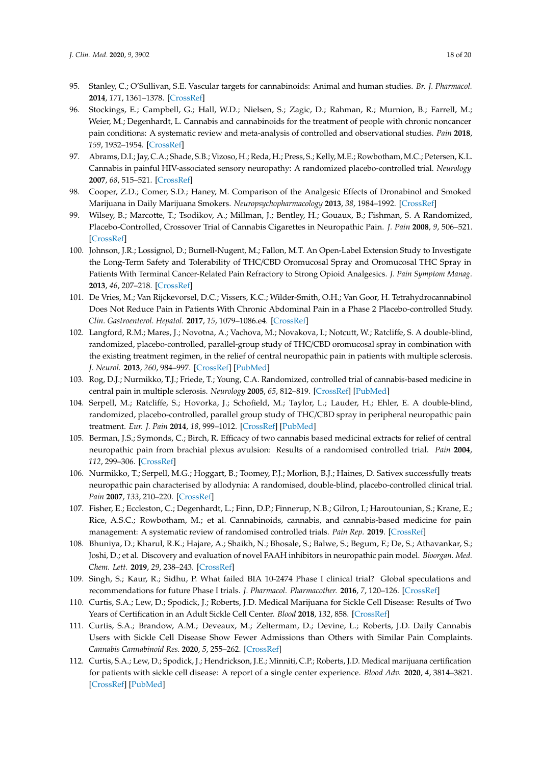- <span id="page-17-0"></span>95. Stanley, C.; O'Sullivan, S.E. Vascular targets for cannabinoids: Animal and human studies. *Br. J. Pharmacol.* **2014**, *171*, 1361–1378. [\[CrossRef\]](http://dx.doi.org/10.1111/bph.12560)
- <span id="page-17-1"></span>96. Stockings, E.; Campbell, G.; Hall, W.D.; Nielsen, S.; Zagic, D.; Rahman, R.; Murnion, B.; Farrell, M.; Weier, M.; Degenhardt, L. Cannabis and cannabinoids for the treatment of people with chronic noncancer pain conditions: A systematic review and meta-analysis of controlled and observational studies. *Pain* **2018**, *159*, 1932–1954. [\[CrossRef\]](http://dx.doi.org/10.1097/j.pain.0000000000001293)
- <span id="page-17-2"></span>97. Abrams, D.I.; Jay, C.A.; Shade, S.B.; Vizoso, H.; Reda, H.; Press, S.; Kelly, M.E.; Rowbotham, M.C.; Petersen, K.L. Cannabis in painful HIV-associated sensory neuropathy: A randomized placebo-controlled trial. *Neurology* **2007**, *68*, 515–521. [\[CrossRef\]](http://dx.doi.org/10.1212/01.wnl.0000253187.66183.9c)
- 98. Cooper, Z.D.; Comer, S.D.; Haney, M. Comparison of the Analgesic Effects of Dronabinol and Smoked Marijuana in Daily Marijuana Smokers. *Neuropsychopharmacology* **2013**, *38*, 1984–1992. [\[CrossRef\]](http://dx.doi.org/10.1038/npp.2013.97)
- <span id="page-17-3"></span>99. Wilsey, B.; Marcotte, T.; Tsodikov, A.; Millman, J.; Bentley, H.; Gouaux, B.; Fishman, S. A Randomized, Placebo-Controlled, Crossover Trial of Cannabis Cigarettes in Neuropathic Pain. *J. Pain* **2008**, *9*, 506–521. [\[CrossRef\]](http://dx.doi.org/10.1016/j.jpain.2007.12.010)
- <span id="page-17-4"></span>100. Johnson, J.R.; Lossignol, D.; Burnell-Nugent, M.; Fallon, M.T. An Open-Label Extension Study to Investigate the Long-Term Safety and Tolerability of THC/CBD Oromucosal Spray and Oromucosal THC Spray in Patients With Terminal Cancer-Related Pain Refractory to Strong Opioid Analgesics. *J. Pain Symptom Manag.* **2013**, *46*, 207–218. [\[CrossRef\]](http://dx.doi.org/10.1016/j.jpainsymman.2012.07.014)
- <span id="page-17-5"></span>101. De Vries, M.; Van Rijckevorsel, D.C.; Vissers, K.C.; Wilder-Smith, O.H.; Van Goor, H. Tetrahydrocannabinol Does Not Reduce Pain in Patients With Chronic Abdominal Pain in a Phase 2 Placebo-controlled Study. *Clin. Gastroenterol. Hepatol.* **2017**, *15*, 1079–1086.e4. [\[CrossRef\]](http://dx.doi.org/10.1016/j.cgh.2016.09.147)
- <span id="page-17-6"></span>102. Langford, R.M.; Mares, J.; Novotna, A.; Vachova, M.; Novakova, I.; Notcutt, W.; Ratcliffe, S. A double-blind, randomized, placebo-controlled, parallel-group study of THC/CBD oromucosal spray in combination with the existing treatment regimen, in the relief of central neuropathic pain in patients with multiple sclerosis. *J. Neurol.* **2013**, *260*, 984–997. [\[CrossRef\]](http://dx.doi.org/10.1007/s00415-012-6739-4) [\[PubMed\]](http://www.ncbi.nlm.nih.gov/pubmed/23180178)
- <span id="page-17-18"></span><span id="page-17-7"></span>103. Rog, D.J.; Nurmikko, T.J.; Friede, T.; Young, C.A. Randomized, controlled trial of cannabis-based medicine in central pain in multiple sclerosis. *Neurology* **2005**, *65*, 812–819. [\[CrossRef\]](http://dx.doi.org/10.1212/01.wnl.0000176753.45410.8b) [\[PubMed\]](http://www.ncbi.nlm.nih.gov/pubmed/16186518)
- <span id="page-17-17"></span><span id="page-17-8"></span>104. Serpell, M.; Ratcliffe, S.; Hovorka, J.; Schofield, M.; Taylor, L.; Lauder, H.; Ehler, E. A double-blind, randomized, placebo-controlled, parallel group study of THC/CBD spray in peripheral neuropathic pain treatment. *Eur. J. Pain* **2014**, *18*, 999–1012. [\[CrossRef\]](http://dx.doi.org/10.1002/j.1532-2149.2013.00445.x) [\[PubMed\]](http://www.ncbi.nlm.nih.gov/pubmed/24420962)
- <span id="page-17-9"></span>105. Berman, J.S.; Symonds, C.; Birch, R. Efficacy of two cannabis based medicinal extracts for relief of central neuropathic pain from brachial plexus avulsion: Results of a randomised controlled trial. *Pain* **2004**, *112*, 299–306. [\[CrossRef\]](http://dx.doi.org/10.1016/j.pain.2004.09.013)
- <span id="page-17-10"></span>106. Nurmikko, T.; Serpell, M.G.; Hoggart, B.; Toomey, P.J.; Morlion, B.J.; Haines, D. Sativex successfully treats neuropathic pain characterised by allodynia: A randomised, double-blind, placebo-controlled clinical trial. *Pain* **2007**, *133*, 210–220. [\[CrossRef\]](http://dx.doi.org/10.1016/j.pain.2007.08.028)
- <span id="page-17-11"></span>107. Fisher, E.; Eccleston, C.; Degenhardt, L.; Finn, D.P.; Finnerup, N.B.; Gilron, I.; Haroutounian, S.; Krane, E.; Rice, A.S.C.; Rowbotham, M.; et al. Cannabinoids, cannabis, and cannabis-based medicine for pain management: A systematic review of randomised controlled trials. *Pain Rep.* **2019**. [\[CrossRef\]](http://dx.doi.org/10.1097/PR9.0000000000000741)
- <span id="page-17-12"></span>108. Bhuniya, D.; Kharul, R.K.; Hajare, A.; Shaikh, N.; Bhosale, S.; Balwe, S.; Begum, F.; De, S.; Athavankar, S.; Joshi, D.; et al. Discovery and evaluation of novel FAAH inhibitors in neuropathic pain model. *Bioorgan. Med. Chem. Lett.* **2019**, *29*, 238–243. [\[CrossRef\]](http://dx.doi.org/10.1016/j.bmcl.2018.11.048)
- <span id="page-17-13"></span>109. Singh, S.; Kaur, R.; Sidhu, P. What failed BIA 10-2474 Phase I clinical trial? Global speculations and recommendations for future Phase I trials. *J. Pharmacol. Pharmacother.* **2016**, *7*, 120–126. [\[CrossRef\]](http://dx.doi.org/10.4103/0976-500X.189661)
- <span id="page-17-14"></span>110. Curtis, S.A.; Lew, D.; Spodick, J.; Roberts, J.D. Medical Marijuana for Sickle Cell Disease: Results of Two Years of Certification in an Adult Sickle Cell Center. *Blood* **2018**, *132*, 858. [\[CrossRef\]](http://dx.doi.org/10.1182/blood-2018-99-118290)
- <span id="page-17-16"></span>111. Curtis, S.A.; Brandow, A.M.; Deveaux, M.; Zeltermam, D.; Devine, L.; Roberts, J.D. Daily Cannabis Users with Sickle Cell Disease Show Fewer Admissions than Others with Similar Pain Complaints. *Cannabis Cannabinoid Res.* **2020**, *5*, 255–262. [\[CrossRef\]](http://dx.doi.org/10.1089/can.2019.0036)
- <span id="page-17-15"></span>112. Curtis, S.A.; Lew, D.; Spodick, J.; Hendrickson, J.E.; Minniti, C.P.; Roberts, J.D. Medical marijuana certification for patients with sickle cell disease: A report of a single center experience. *Blood Adv.* **2020**, *4*, 3814–3821. [\[CrossRef\]](http://dx.doi.org/10.1182/bloodadvances.2020002325) [\[PubMed\]](http://www.ncbi.nlm.nih.gov/pubmed/32790846)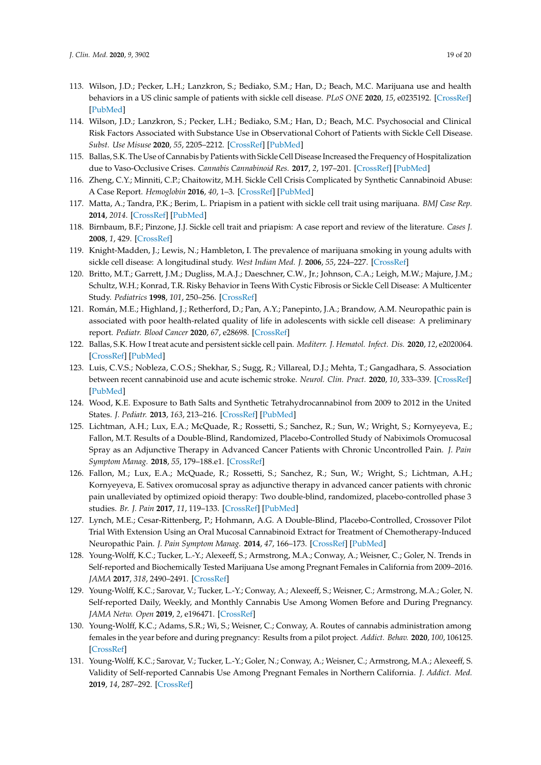- <span id="page-18-11"></span><span id="page-18-7"></span><span id="page-18-6"></span><span id="page-18-5"></span><span id="page-18-4"></span><span id="page-18-3"></span><span id="page-18-2"></span><span id="page-18-1"></span><span id="page-18-0"></span>113. Wilson, J.D.; Pecker, L.H.; Lanzkron, S.; Bediako, S.M.; Han, D.; Beach, M.C. Marijuana use and health behaviors in a US clinic sample of patients with sickle cell disease. *PLoS ONE* **2020**, *15*, e0235192. [\[CrossRef\]](http://dx.doi.org/10.1371/journal.pone.0235192) [\[PubMed\]](http://www.ncbi.nlm.nih.gov/pubmed/32663844)
- <span id="page-18-12"></span>114. Wilson, J.D.; Lanzkron, S.; Pecker, L.H.; Bediako, S.M.; Han, D.; Beach, M.C. Psychosocial and Clinical Risk Factors Associated with Substance Use in Observational Cohort of Patients with Sickle Cell Disease. *Subst. Use Misuse* **2020**, *55*, 2205–2212. [\[CrossRef\]](http://dx.doi.org/10.1080/10826084.2020.1797807) [\[PubMed\]](http://www.ncbi.nlm.nih.gov/pubmed/32762425)
- <span id="page-18-13"></span>115. Ballas, S.K. The Use of Cannabis by Patients with Sickle Cell Disease Increased the Frequency of Hospitalization due to Vaso-Occlusive Crises. *Cannabis Cannabinoid Res.* **2017**, *2*, 197–201. [\[CrossRef\]](http://dx.doi.org/10.1089/can.2017.0011) [\[PubMed\]](http://www.ncbi.nlm.nih.gov/pubmed/29082316)
- <span id="page-18-16"></span>116. Zheng, C.Y.; Minniti, C.P.; Chaitowitz, M.H. Sickle Cell Crisis Complicated by Synthetic Cannabinoid Abuse: A Case Report. *Hemoglobin* **2016**, *40*, 1–3. [\[CrossRef\]](http://dx.doi.org/10.3109/03630269.2016.1149077) [\[PubMed\]](http://www.ncbi.nlm.nih.gov/pubmed/26956672)
- <span id="page-18-18"></span>117. Matta, A.; Tandra, P.K.; Berim, L. Priapism in a patient with sickle cell trait using marijuana. *BMJ Case Rep.* **2014**, *2014*. [\[CrossRef\]](http://dx.doi.org/10.1136/bcr-2014-204199) [\[PubMed\]](http://www.ncbi.nlm.nih.gov/pubmed/24798364)
- <span id="page-18-19"></span>118. Birnbaum, B.F.; Pinzone, J.J. Sickle cell trait and priapism: A case report and review of the literature. *Cases J.* **2008**, *1*, 429. [\[CrossRef\]](http://dx.doi.org/10.1186/1757-1626-1-429)
- <span id="page-18-8"></span>119. Knight-Madden, J.; Lewis, N.; Hambleton, I. The prevalence of marijuana smoking in young adults with sickle cell disease: A longitudinal study. *West Indian Med. J.* **2006**, *55*, 224–227. [\[CrossRef\]](http://dx.doi.org/10.1590/S0043-31442006000400004)
- <span id="page-18-10"></span>120. Britto, M.T.; Garrett, J.M.; Dugliss, M.A.J.; Daeschner, C.W., Jr.; Johnson, C.A.; Leigh, M.W.; Majure, J.M.; Schultz, W.H.; Konrad, T.R. Risky Behavior in Teens With Cystic Fibrosis or Sickle Cell Disease: A Multicenter Study. *Pediatrics* **1998**, *101*, 250–256. [\[CrossRef\]](http://dx.doi.org/10.1542/peds.101.2.250)
- <span id="page-18-9"></span>121. Román, M.E.; Highland, J.; Retherford, D.; Pan, A.Y.; Panepinto, J.A.; Brandow, A.M. Neuropathic pain is associated with poor health-related quality of life in adolescents with sickle cell disease: A preliminary report. *Pediatr. Blood Cancer* **2020**, *67*, e28698. [\[CrossRef\]](http://dx.doi.org/10.1002/pbc.28698)
- <span id="page-18-14"></span>122. Ballas, S.K. How I treat acute and persistent sickle cell pain. *Mediterr. J. Hematol. Infect. Dis.* **2020**, *12*, e2020064. [\[CrossRef\]](http://dx.doi.org/10.4084/mjhid.2020.064) [\[PubMed\]](http://www.ncbi.nlm.nih.gov/pubmed/32952975)
- <span id="page-18-15"></span>123. Luis, C.V.S.; Nobleza, C.O.S.; Shekhar, S.; Sugg, R.; Villareal, D.J.; Mehta, T.; Gangadhara, S. Association between recent cannabinoid use and acute ischemic stroke. *Neurol. Clin. Pract.* **2020**, *10*, 333–339. [\[CrossRef\]](http://dx.doi.org/10.1212/CPJ.0000000000000888) [\[PubMed\]](http://www.ncbi.nlm.nih.gov/pubmed/32983613)
- <span id="page-18-17"></span>124. Wood, K.E. Exposure to Bath Salts and Synthetic Tetrahydrocannabinol from 2009 to 2012 in the United States. *J. Pediatr.* **2013**, *163*, 213–216. [\[CrossRef\]](http://dx.doi.org/10.1016/j.jpeds.2012.12.056) [\[PubMed\]](http://www.ncbi.nlm.nih.gov/pubmed/23391041)
- <span id="page-18-20"></span>125. Lichtman, A.H.; Lux, E.A.; McQuade, R.; Rossetti, S.; Sanchez, R.; Sun, W.; Wright, S.; Kornyeyeva, E.; Fallon, M.T. Results of a Double-Blind, Randomized, Placebo-Controlled Study of Nabiximols Oromucosal Spray as an Adjunctive Therapy in Advanced Cancer Patients with Chronic Uncontrolled Pain. *J. Pain Symptom Manag.* **2018**, *55*, 179–188.e1. [\[CrossRef\]](http://dx.doi.org/10.1016/j.jpainsymman.2017.09.001)
- 126. Fallon, M.; Lux, E.A.; McQuade, R.; Rossetti, S.; Sanchez, R.; Sun, W.; Wright, S.; Lichtman, A.H.; Kornyeyeva, E. Sativex oromucosal spray as adjunctive therapy in advanced cancer patients with chronic pain unalleviated by optimized opioid therapy: Two double-blind, randomized, placebo-controlled phase 3 studies. *Br. J. Pain* **2017**, *11*, 119–133. [\[CrossRef\]](http://dx.doi.org/10.1177/2049463717710042) [\[PubMed\]](http://www.ncbi.nlm.nih.gov/pubmed/28785408)
- <span id="page-18-21"></span>127. Lynch, M.E.; Cesar-Rittenberg, P.; Hohmann, A.G. A Double-Blind, Placebo-Controlled, Crossover Pilot Trial With Extension Using an Oral Mucosal Cannabinoid Extract for Treatment of Chemotherapy-Induced Neuropathic Pain. *J. Pain Symptom Manag.* **2014**, *47*, 166–173. [\[CrossRef\]](http://dx.doi.org/10.1016/j.jpainsymman.2013.02.018) [\[PubMed\]](http://www.ncbi.nlm.nih.gov/pubmed/23742737)
- <span id="page-18-22"></span>128. Young-Wolff, K.C.; Tucker, L.-Y.; Alexeeff, S.; Armstrong, M.A.; Conway, A.; Weisner, C.; Goler, N. Trends in Self-reported and Biochemically Tested Marijuana Use among Pregnant Females in California from 2009–2016. *JAMA* **2017**, *318*, 2490–2491. [\[CrossRef\]](http://dx.doi.org/10.1001/jama.2017.17225)
- 129. Young-Wolff, K.C.; Sarovar, V.; Tucker, L.-Y.; Conway, A.; Alexeeff, S.; Weisner, C.; Armstrong, M.A.; Goler, N. Self-reported Daily, Weekly, and Monthly Cannabis Use Among Women Before and During Pregnancy. *JAMA Netw. Open* **2019**, *2*, e196471. [\[CrossRef\]](http://dx.doi.org/10.1001/jamanetworkopen.2019.6471)
- 130. Young-Wolff, K.C.; Adams, S.R.; Wi, S.; Weisner, C.; Conway, A. Routes of cannabis administration among females in the year before and during pregnancy: Results from a pilot project. *Addict. Behav.* **2020**, *100*, 106125. [\[CrossRef\]](http://dx.doi.org/10.1016/j.addbeh.2019.106125)
- <span id="page-18-23"></span>131. Young-Wolff, K.C.; Sarovar, V.; Tucker, L.-Y.; Goler, N.; Conway, A.; Weisner, C.; Armstrong, M.A.; Alexeeff, S. Validity of Self-reported Cannabis Use Among Pregnant Females in Northern California. *J. Addict. Med.* **2019**, *14*, 287–292. [\[CrossRef\]](http://dx.doi.org/10.1097/ADM.0000000000000581)